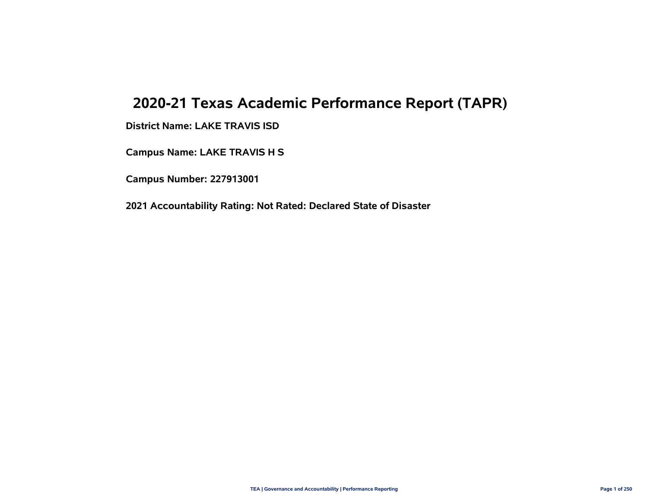# **2020-21 Texas Academic Performance Report (TAPR)**

**District Name: LAKE TRAVIS ISD**

**Campus Name: LAKE TRAVIS H S**

**Campus Number: 227913001**

**2021 Accountability Rating: Not Rated: Declared State of Disaster**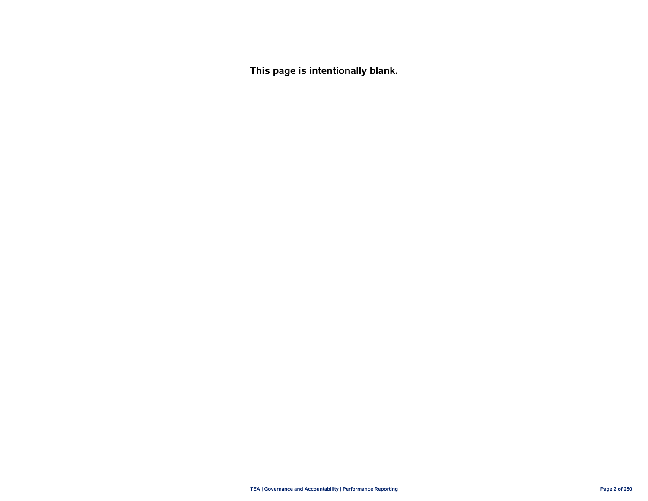**This page is intentionally blank.**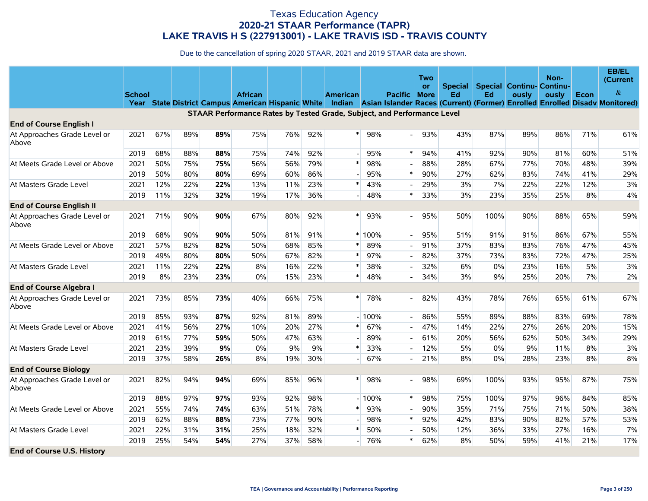## Texas Education Agency **2020-21 STAAR Performance (TAPR) LAKE TRAVIS H S (227913001) - LAKE TRAVIS ISD - TRAVIS COUNTY**

Due to the cancellation of spring 2020 STAAR, 2021 and 2019 STAAR data are shown.

|                                       |               |     |     |     |                |     |     |                                                                         |         |                | Two         |         |      |                                  | Non-  |      | EB/EL<br>(Current                                                                                                                     |
|---------------------------------------|---------------|-----|-----|-----|----------------|-----|-----|-------------------------------------------------------------------------|---------|----------------|-------------|---------|------|----------------------------------|-------|------|---------------------------------------------------------------------------------------------------------------------------------------|
|                                       |               |     |     |     |                |     |     |                                                                         |         |                | <b>or</b>   | Special |      | <b>Special Continu- Continu-</b> |       |      | $\&$                                                                                                                                  |
|                                       | <b>School</b> |     |     |     | <b>African</b> |     |     | <b>American</b>                                                         |         | <b>Pacific</b> | <b>More</b> | Ed.     | Ed   | ously                            | ously | Econ | Year State District Campus American Hispanic White Indian Asian Islander Races (Current) (Former) Enrolled Enrolled Disady Monitored) |
|                                       |               |     |     |     |                |     |     | STAAR Performance Rates by Tested Grade, Subject, and Performance Level |         |                |             |         |      |                                  |       |      |                                                                                                                                       |
| <b>End of Course English I</b>        |               |     |     |     |                |     |     |                                                                         |         |                |             |         |      |                                  |       |      |                                                                                                                                       |
| At Approaches Grade Level or<br>Above | 2021          | 67% | 89% | 89% | 75%            | 76% | 92% | $\ast$                                                                  | 98%     |                | 93%         | 43%     | 87%  | 89%                              | 86%   | 71%  | 61%                                                                                                                                   |
|                                       | 2019          | 68% | 88% | 88% | 75%            | 74% | 92% |                                                                         | 95%     | $\ast$         | 94%         | 41%     | 92%  | 90%                              | 81%   | 60%  | 51%                                                                                                                                   |
| At Meets Grade Level or Above         | 2021          | 50% | 75% | 75% | 56%            | 56% | 79% | $\ast$                                                                  | 98%     |                | 88%         | 28%     | 67%  | 77%                              | 70%   | 48%  | 39%                                                                                                                                   |
|                                       | 2019          | 50% | 80% | 80% | 69%            | 60% | 86% |                                                                         | 95%     | $\ast$         | 90%         | 27%     | 62%  | 83%                              | 74%   | 41%  | 29%                                                                                                                                   |
| At Masters Grade Level                | 2021          | 12% | 22% | 22% | 13%            | 11% | 23% | $\ast$                                                                  | 43%     |                | 29%         | 3%      | 7%   | 22%                              | 22%   | 12%  | 3%                                                                                                                                    |
|                                       | 2019          | 11% | 32% | 32% | 19%            | 17% | 36% |                                                                         | 48%     | $\ast$         | 33%         | 3%      | 23%  | 35%                              | 25%   | 8%   | 4%                                                                                                                                    |
| <b>End of Course English II</b>       |               |     |     |     |                |     |     |                                                                         |         |                |             |         |      |                                  |       |      |                                                                                                                                       |
| At Approaches Grade Level or<br>Above | 2021          | 71% | 90% | 90% | 67%            | 80% | 92% | $\ast$                                                                  | 93%     |                | 95%         | 50%     | 100% | 90%                              | 88%   | 65%  | 59%                                                                                                                                   |
|                                       | 2019          | 68% | 90% | 90% | 50%            | 81% | 91% |                                                                         | * 100%  |                | 95%         | 51%     | 91%  | 91%                              | 86%   | 67%  | 55%                                                                                                                                   |
| At Meets Grade Level or Above         | 2021          | 57% | 82% | 82% | 50%            | 68% | 85% |                                                                         | 89%     |                | 91%         | 37%     | 83%  | 83%                              | 76%   | 47%  | 45%                                                                                                                                   |
|                                       | 2019          | 49% | 80% | 80% | 50%            | 67% | 82% |                                                                         | 97%     |                | 82%         | 37%     | 73%  | 83%                              | 72%   | 47%  | 25%                                                                                                                                   |
| At Masters Grade Level                | 2021          | 11% | 22% | 22% | 8%             | 16% | 22% | $\ast$                                                                  | 38%     |                | 32%         | 6%      | 0%   | 23%                              | 16%   | 5%   | 3%                                                                                                                                    |
|                                       | 2019          | 8%  | 23% | 23% | $0\%$          | 15% | 23% | $\ast$                                                                  | 48%     |                | 34%         | 3%      | 9%   | 25%                              | 20%   | 7%   | 2%                                                                                                                                    |
| <b>End of Course Algebra I</b>        |               |     |     |     |                |     |     |                                                                         |         |                |             |         |      |                                  |       |      |                                                                                                                                       |
| At Approaches Grade Level or<br>Above | 2021          | 73% | 85% | 73% | 40%            | 66% | 75% | $\ast$                                                                  | 78%     |                | 82%         | 43%     | 78%  | 76%                              | 65%   | 61%  | 67%                                                                                                                                   |
|                                       | 2019          | 85% | 93% | 87% | 92%            | 81% | 89% |                                                                         | $-100%$ |                | 86%         | 55%     | 89%  | 88%                              | 83%   | 69%  | 78%                                                                                                                                   |
| At Meets Grade Level or Above         | 2021          | 41% | 56% | 27% | 10%            | 20% | 27% |                                                                         | 67%     |                | 47%         | 14%     | 22%  | 27%                              | 26%   | 20%  | 15%                                                                                                                                   |
|                                       | 2019          | 61% | 77% | 59% | 50%            | 47% | 63% |                                                                         | 89%     |                | 61%         | 20%     | 56%  | 62%                              | 50%   | 34%  | 29%                                                                                                                                   |
| At Masters Grade Level                | 2021          | 23% | 39% | 9%  | 0%             | 9%  | 9%  |                                                                         | 33%     |                | 12%         | 5%      | 0%   | 9%                               | 11%   | 8%   | 3%                                                                                                                                    |
|                                       | 2019          | 37% | 58% | 26% | 8%             | 19% | 30% |                                                                         | 67%     |                | 21%         | 8%      | 0%   | 28%                              | 23%   | 8%   | 8%                                                                                                                                    |
| <b>End of Course Biology</b>          |               |     |     |     |                |     |     |                                                                         |         |                |             |         |      |                                  |       |      |                                                                                                                                       |
| At Approaches Grade Level or<br>Above | 2021          | 82% | 94% | 94% | 69%            | 85% | 96% | $\ast$                                                                  | 98%     |                | 98%         | 69%     | 100% | 93%                              | 95%   | 87%  | 75%                                                                                                                                   |
|                                       | 2019          | 88% | 97% | 97% | 93%            | 92% | 98% |                                                                         | $-100%$ | $\ast$         | 98%         | 75%     | 100% | 97%                              | 96%   | 84%  | 85%                                                                                                                                   |
| At Meets Grade Level or Above         | 2021          | 55% | 74% | 74% | 63%            | 51% | 78% |                                                                         | 93%     |                | 90%         | 35%     | 71%  | 75%                              | 71%   | 50%  | 38%                                                                                                                                   |
|                                       | 2019          | 62% | 88% | 88% | 73%            | 77% | 90% |                                                                         | 98%     | $\ast$         | 92%         | 42%     | 83%  | 90%                              | 82%   | 57%  | 53%                                                                                                                                   |
| At Masters Grade Level                | 2021          | 22% | 31% | 31% | 25%            | 18% | 32% |                                                                         | 50%     |                | 50%         | 12%     | 36%  | 33%                              | 27%   | 16%  | 7%                                                                                                                                    |
|                                       | 2019          | 25% | 54% | 54% | 27%            | 37% | 58% |                                                                         | 76%     |                | 62%         | 8%      | 50%  | 59%                              | 41%   | 21%  | 17%                                                                                                                                   |
| End of Course U.S. History            |               |     |     |     |                |     |     |                                                                         |         |                |             |         |      |                                  |       |      |                                                                                                                                       |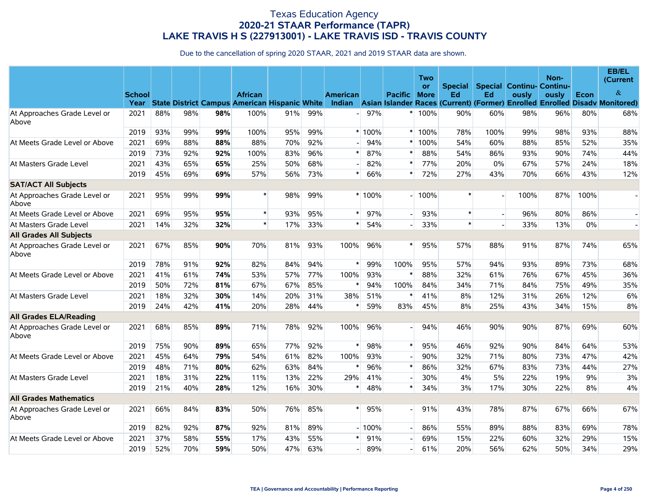## Texas Education Agency **2020-21 STAAR Performance (TAPR) LAKE TRAVIS H S (227913001) - LAKE TRAVIS ISD - TRAVIS COUNTY**

Due to the cancellation of spring 2020 STAAR, 2021 and 2019 STAAR data are shown.

|                                       |                       |     |     |     |                                                                        |     |     |                           |          |                | <b>Two</b>  |         |                          |                                  | Non-  |      | <b>EB/EL</b><br>(Current                                                            |
|---------------------------------------|-----------------------|-----|-----|-----|------------------------------------------------------------------------|-----|-----|---------------------------|----------|----------------|-------------|---------|--------------------------|----------------------------------|-------|------|-------------------------------------------------------------------------------------|
|                                       |                       |     |     |     |                                                                        |     |     |                           |          |                | <b>or</b>   | Special |                          | <b>Special Continu- Continu-</b> |       |      |                                                                                     |
|                                       | <b>School</b><br>Year |     |     |     | <b>African</b><br><b>State District Campus American Hispanic White</b> |     |     | <b>American</b><br>Indian |          | <b>Pacific</b> | <b>More</b> | Ed      | Ed                       | ously                            | ously | Econ | $\&$<br>Asian Islander Races (Current) (Former) Enrolled Enrolled Disady Monitored) |
| At Approaches Grade Level or          |                       | 88% | 98% | 98% | 100%                                                                   | 91% | 99% | $\overline{\phantom{0}}$  | 97%      |                | 100%        | 90%     | 60%                      | 98%                              | 96%   | 80%  | 68%                                                                                 |
| Above                                 | 2021                  |     |     |     |                                                                        |     |     |                           |          |                |             |         |                          |                                  |       |      |                                                                                     |
|                                       | 2019                  | 93% | 99% | 99% | 100%                                                                   | 95% | 99% |                           | * 100%   | $\ast$         | 100%        | 78%     | 100%                     | 99%                              | 98%   | 93%  | 88%                                                                                 |
| At Meets Grade Level or Above         | 2021                  | 69% | 88% | 88% | 88%                                                                    | 70% | 92% |                           | 94%      | $\ast$         | 100%        | 54%     | 60%                      | 88%                              | 85%   | 52%  | 35%                                                                                 |
|                                       | 2019                  | 73% | 92% | 92% | 100%                                                                   | 83% | 96% | $\ast$                    | 87%      | $\ast$         | 88%         | 54%     | 86%                      | 93%                              | 90%   | 74%  | 44%                                                                                 |
| At Masters Grade Level                | 2021                  | 43% | 65% | 65% | 25%                                                                    | 50% | 68% |                           | 82%      | $\ast$         | 77%         | 20%     | 0%                       | 67%                              | 57%   | 24%  | 18%                                                                                 |
|                                       | 2019                  | 45% | 69% | 69% | 57%                                                                    | 56% | 73% |                           | 66%      | $\ast$         | 72%         | 27%     | 43%                      | 70%                              | 66%   | 43%  | 12%                                                                                 |
| <b>SAT/ACT All Subjects</b>           |                       |     |     |     |                                                                        |     |     |                           |          |                |             |         |                          |                                  |       |      |                                                                                     |
| At Approaches Grade Level or<br>Above | 2021                  | 95% | 99% | 99% | $\ast$                                                                 | 98% | 99% |                           | $*100\%$ |                | 100%        |         |                          | 100%                             | 87%   | 100% |                                                                                     |
| At Meets Grade Level or Above         | 2021                  | 69% | 95% | 95% | $\ast$                                                                 | 93% | 95% | $\ast$                    | 97%      |                | 93%         | $\ast$  | $\overline{\phantom{a}}$ | 96%                              | 80%   | 86%  |                                                                                     |
| At Masters Grade Level                | 2021                  | 14% | 32% | 32% | $\ast$                                                                 | 17% | 33% | $\ast$                    | 54%      |                | 33%         | $\ast$  |                          | 33%                              | 13%   | 0%   |                                                                                     |
| <b>All Grades All Subjects</b>        |                       |     |     |     |                                                                        |     |     |                           |          |                |             |         |                          |                                  |       |      |                                                                                     |
| At Approaches Grade Level or<br>Above | 2021                  | 67% | 85% | 90% | 70%                                                                    | 81% | 93% | 100%                      | 96%      | $\ast$         | 95%         | 57%     | 88%                      | 91%                              | 87%   | 74%  | 65%                                                                                 |
|                                       | 2019                  | 78% | 91% | 92% | 82%                                                                    | 84% | 94% | $\ast$                    | 99%      | 100%           | 95%         | 57%     | 94%                      | 93%                              | 89%   | 73%  | 68%                                                                                 |
| At Meets Grade Level or Above         | 2021                  | 41% | 61% | 74% | 53%                                                                    | 57% | 77% | 100%                      | 93%      | $\ast$         | 88%         | 32%     | 61%                      | 76%                              | 67%   | 45%  | 36%                                                                                 |
|                                       | 2019                  | 50% | 72% | 81% | 67%                                                                    | 67% | 85% | $\ast$                    | 94%      | 100%           | 84%         | 34%     | 71%                      | 84%                              | 75%   | 49%  | 35%                                                                                 |
| At Masters Grade Level                | 2021                  | 18% | 32% | 30% | 14%                                                                    | 20% | 31% | 38%                       | 51%      |                | 41%         | 8%      | 12%                      | 31%                              | 26%   | 12%  | 6%                                                                                  |
|                                       | 2019                  | 24% | 42% | 41% | 20%                                                                    | 28% | 44% |                           | 59%      | 83%            | 45%         | 8%      | 25%                      | 43%                              | 34%   | 15%  | 8%                                                                                  |
| <b>All Grades ELA/Reading</b>         |                       |     |     |     |                                                                        |     |     |                           |          |                |             |         |                          |                                  |       |      |                                                                                     |
| At Approaches Grade Level or<br>Above | 2021                  | 68% | 85% | 89% | 71%                                                                    | 78% | 92% | 100%                      | 96%      |                | 94%         | 46%     | 90%                      | 90%                              | 87%   | 69%  | 60%                                                                                 |
|                                       | 2019                  | 75% | 90% | 89% | 65%                                                                    | 77% | 92% | $\ast$                    | 98%      | $\ast$         | 95%         | 46%     | 92%                      | 90%                              | 84%   | 64%  | 53%                                                                                 |
| At Meets Grade Level or Above         | 2021                  | 45% | 64% | 79% | 54%                                                                    | 61% | 82% | 100%                      | 93%      |                | 90%         | 32%     | 71%                      | 80%                              | 73%   | 47%  | 42%                                                                                 |
|                                       | 2019                  | 48% | 71% | 80% | 62%                                                                    | 63% | 84% |                           | 96%      | $\ast$         | 86%         | 32%     | 67%                      | 83%                              | 73%   | 44%  | 27%                                                                                 |
| At Masters Grade Level                | 2021                  | 18% | 31% | 22% | 11%                                                                    | 13% | 22% | 29%                       | 41%      |                | 30%         | 4%      | 5%                       | 22%                              | 19%   | 9%   | 3%                                                                                  |
|                                       | 2019                  | 21% | 40% | 28% | 12%                                                                    | 16% | 30% | $\ast$                    | 48%      | $\ast$         | 34%         | 3%      | 17%                      | 30%                              | 22%   | 8%   | 4%                                                                                  |
| <b>All Grades Mathematics</b>         |                       |     |     |     |                                                                        |     |     |                           |          |                |             |         |                          |                                  |       |      |                                                                                     |
| At Approaches Grade Level or<br>Above | 2021                  | 66% | 84% | 83% | 50%                                                                    | 76% | 85% | $\ast$                    | 95%      |                | 91%         | 43%     | 78%                      | 87%                              | 67%   | 66%  | 67%                                                                                 |
|                                       | 2019                  | 82% | 92% | 87% | 92%                                                                    | 81% | 89% |                           | $-100%$  |                | 86%         | 55%     | 89%                      | 88%                              | 83%   | 69%  | 78%                                                                                 |
| At Meets Grade Level or Above         | 2021                  | 37% | 58% | 55% | 17%                                                                    | 43% | 55% |                           | 91%      |                | 69%         | 15%     | 22%                      | 60%                              | 32%   | 29%  | 15%                                                                                 |
|                                       | 2019                  | 52% | 70% | 59% | 50%                                                                    | 47% | 63% |                           | 89%      |                | 61%         | 20%     | 56%                      | 62%                              | 50%   | 34%  | 29%                                                                                 |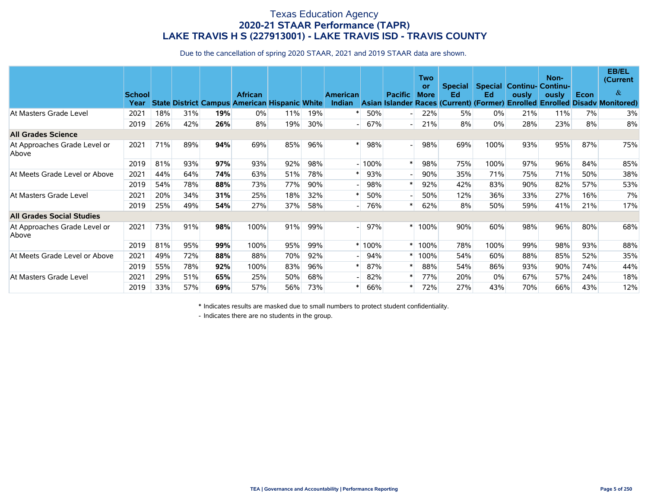## Texas Education Agency **2020-21 STAAR Performance (TAPR) LAKE TRAVIS H S (227913001) - LAKE TRAVIS ISD - TRAVIS COUNTY**

Due to the cancellation of spring 2020 STAAR, 2021 and 2019 STAAR data are shown.

|                                       | <b>School</b><br>Year |     |     |     | <b>African</b><br><b>State District Campus American Hispanic White</b> |     |     | <b>American</b><br>Indian |          | <b>Pacific</b> | Two<br>or<br>More | <b>Special</b><br>Ed | Ed    | ously | Non-<br><b>Special Continu- Continu-</b><br>ously | Econ | <b>EB/EL</b><br>(Current<br>$\&$<br>Asian Islander Races (Current) (Former) Enrolled Enrolled Disady Monitored) |
|---------------------------------------|-----------------------|-----|-----|-----|------------------------------------------------------------------------|-----|-----|---------------------------|----------|----------------|-------------------|----------------------|-------|-------|---------------------------------------------------|------|-----------------------------------------------------------------------------------------------------------------|
| At Masters Grade Level                | 2021                  | 18% | 31% | 19% | 0%                                                                     | 11% | 19% | $\ast$                    | 50%      |                | 22%               | 5%                   | $0\%$ | 21%   | 11%                                               | 7%   | 3%                                                                                                              |
|                                       | 2019                  | 26% | 42% | 26% | 8%                                                                     | 19% | 30% |                           | 67%      |                | 21%               | 8%                   | 0%    | 28%   | 23%                                               | 8%   | 8%                                                                                                              |
| <b>All Grades Science</b>             |                       |     |     |     |                                                                        |     |     |                           |          |                |                   |                      |       |       |                                                   |      |                                                                                                                 |
| At Approaches Grade Level or<br>Above | 2021                  | 71% | 89% | 94% | 69%                                                                    | 85% | 96% | $\ast$                    | 98%      |                | 98%               | 69%                  | 100%  | 93%   | 95%                                               | 87%  | 75%                                                                                                             |
|                                       | 2019                  | 81% | 93% | 97% | 93%                                                                    | 92% | 98% |                           | $-100%$  | $\ast$         | 98%               | 75%                  | 100%  | 97%   | 96%                                               | 84%  | 85%                                                                                                             |
| At Meets Grade Level or Above         | 2021                  | 44% | 64% | 74% | 63%                                                                    | 51% | 78% | $\ast$                    | 93%      |                | 90%               | 35%                  | 71%   | 75%   | 71%                                               | 50%  | 38%                                                                                                             |
|                                       | 2019                  | 54% | 78% | 88% | 73%                                                                    | 77% | 90% |                           | 98%      |                | 92%               | 42%                  | 83%   | 90%   | 82%                                               | 57%  | 53%                                                                                                             |
| At Masters Grade Level                | 2021                  | 20% | 34% | 31% | 25%                                                                    | 18% | 32% |                           | 50%      |                | 50%               | 12%                  | 36%   | 33%   | 27%                                               | 16%  | 7%                                                                                                              |
|                                       | 2019                  | 25% | 49% | 54% | 27%                                                                    | 37% | 58% |                           | 76%      |                | 62%               | 8%                   | 50%   | 59%   | 41%                                               | 21%  | 17%                                                                                                             |
| <b>All Grades Social Studies</b>      |                       |     |     |     |                                                                        |     |     |                           |          |                |                   |                      |       |       |                                                   |      |                                                                                                                 |
| At Approaches Grade Level or<br>Above | 2021                  | 73% | 91% | 98% | 100%                                                                   | 91% | 99% |                           | 97%      |                | 100%              | 90%                  | 60%   | 98%   | 96%                                               | 80%  | 68%                                                                                                             |
|                                       | 2019                  | 81% | 95% | 99% | 100%                                                                   | 95% | 99% |                           | $*100\%$ |                | 100%              | 78%                  | 100%  | 99%   | 98%                                               | 93%  | 88%                                                                                                             |
| At Meets Grade Level or Above         | 2021                  | 49% | 72% | 88% | 88%                                                                    | 70% | 92% |                           | 94%      |                | 100%              | 54%                  | 60%   | 88%   | 85%                                               | 52%  | 35%                                                                                                             |
|                                       | 2019                  | 55% | 78% | 92% | 100%                                                                   | 83% | 96% |                           | 87%      |                | 88%               | 54%                  | 86%   | 93%   | 90%                                               | 74%  | 44%                                                                                                             |
| At Masters Grade Level                | 2021                  | 29% | 51% | 65% | 25%                                                                    | 50% | 68% |                           | 82%      | ∗              | 77%               | 20%                  | 0%    | 67%   | 57%                                               | 24%  | 18%                                                                                                             |
|                                       | 2019                  | 33% | 57% | 69% | 57%                                                                    | 56% | 73% |                           | 66%      |                | 72%               | 27%                  | 43%   | 70%   | 66%                                               | 43%  | 12%                                                                                                             |

\* Indicates results are masked due to small numbers to protect student confidentiality.

- Indicates there are no students in the group.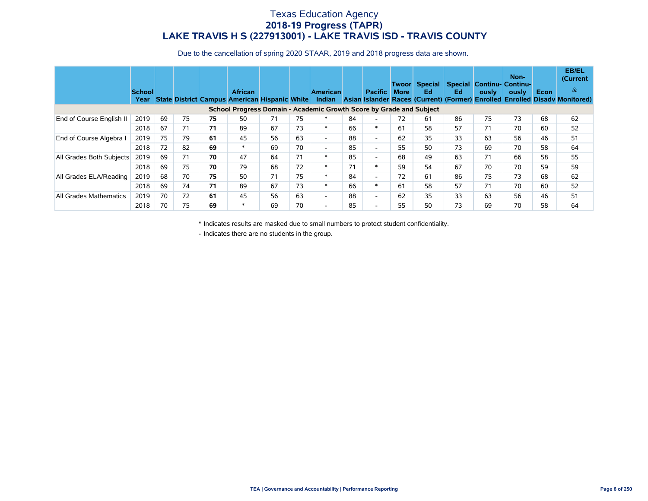### Texas Education Agency **2018-19 Progress (TAPR) LAKE TRAVIS H S (227913001) - LAKE TRAVIS ISD - TRAVIS COUNTY**

Due to the cancellation of spring 2020 STAAR, 2019 and 2018 progress data are shown.

|                          | <b>School</b> |    |    |    | <b>African</b><br>Year State District Campus American Hispanic White |    |    | American<br><b>Indian</b> |    | <b>Pacific</b>           | <b>Twoor</b><br><b>More</b> | <b>Special</b><br>Ed | <b>Special</b><br>Ed | Continu-Continu-<br>ously | Non-<br>ously | Econ | <b>EB/EL</b><br>(Current<br>$\alpha$<br>Asian Islander Races (Current) (Former) Enrolled Enrolled Disady Monitored) |
|--------------------------|---------------|----|----|----|----------------------------------------------------------------------|----|----|---------------------------|----|--------------------------|-----------------------------|----------------------|----------------------|---------------------------|---------------|------|---------------------------------------------------------------------------------------------------------------------|
|                          |               |    |    |    | School Progress Domain - Academic Growth Score by Grade and Subject  |    |    |                           |    |                          |                             |                      |                      |                           |               |      |                                                                                                                     |
| End of Course English II | 2019          | 69 | 75 | 75 | 50                                                                   | 71 | 75 | ∗                         | 84 | $\overline{\phantom{a}}$ | 72                          | 61                   | 86                   | 75                        | 73            | 68   | 62                                                                                                                  |
|                          | 2018          | 67 | 71 | 71 | 89                                                                   | 67 | 73 | $\ast$                    | 66 | $\ast$                   | 61                          | 58                   | 57                   | 71                        | 70            | 60   | 52                                                                                                                  |
| End of Course Algebra I  | 2019          | 75 | 79 | 61 | 45                                                                   | 56 | 63 | $\overline{\phantom{a}}$  | 88 | $\overline{\phantom{a}}$ | 62                          | 35                   | 33                   | 63                        | 56            | 46   | 51                                                                                                                  |
|                          | 2018          | 72 | 82 | 69 | $\ast$                                                               | 69 | 70 | $\overline{\phantom{a}}$  | 85 | $\overline{\phantom{0}}$ | 55                          | 50                   | 73                   | 69                        | 70            | 58   | 64                                                                                                                  |
| All Grades Both Subjects | 2019          | 69 | 71 | 70 | 47                                                                   | 64 | 71 | *                         | 85 | $\overline{\phantom{0}}$ | 68                          | 49                   | 63                   | 71                        | 66            | 58   | 55                                                                                                                  |
|                          | 2018          | 69 | 75 | 70 | 79                                                                   | 68 | 72 | $\ast$                    | 71 | $\ast$                   | 59                          | 54                   | 67                   | 70                        | 70            | 59   | 59                                                                                                                  |
| All Grades ELA/Reading   | 2019          | 68 | 70 | 75 | 50                                                                   | 71 | 75 | $\ast$                    | 84 | $\overline{\phantom{a}}$ | 72                          | 61                   | 86                   | 75                        | 73            | 68   | 62                                                                                                                  |
|                          | 2018          | 69 | 74 | 71 | 89                                                                   | 67 | 73 | $\ast$                    | 66 | $\ast$                   | 61                          | 58                   | 57                   | 71                        | 70            | 60   | 52                                                                                                                  |
| All Grades Mathematics   | 2019          | 70 | 72 | 61 | 45                                                                   | 56 | 63 | $\overline{\phantom{a}}$  | 88 | $\overline{\phantom{0}}$ | 62                          | 35                   | 33                   | 63                        | 56            | 46   | 51                                                                                                                  |
|                          | 2018          | 70 | 75 | 69 | $\ast$                                                               | 69 | 70 | $\overline{\phantom{a}}$  | 85 | $\overline{\phantom{0}}$ | 55                          | 50                   | 73                   | 69                        | 70            | 58   | 64                                                                                                                  |

\* Indicates results are masked due to small numbers to protect student confidentiality.

- Indicates there are no students in the group.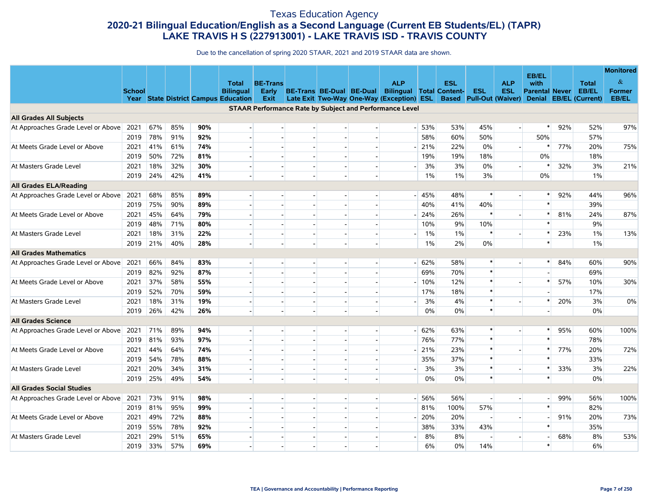## Texas Education Agency **2020-21 Bilingual Education/English as a Second Language (Current EB Students/EL) (TAPR) LAKE TRAVIS H S (227913001) - LAKE TRAVIS ISD - TRAVIS COUNTY**

Due to the cancellation of spring 2020 STAAR, 2021 and 2019 STAAR data are shown.

|                                    |               |     |     |     |                                      |                          |                          |  |                                                                |         |                                |                          |                |                       |     |                        | <b>Monitored</b> |
|------------------------------------|---------------|-----|-----|-----|--------------------------------------|--------------------------|--------------------------|--|----------------------------------------------------------------|---------|--------------------------------|--------------------------|----------------|-----------------------|-----|------------------------|------------------|
|                                    |               |     |     |     | Total                                | <b>BE-Trans</b>          |                          |  | <b>ALP</b>                                                     |         | <b>ESL</b>                     |                          | <b>ALP</b>     | EB/EL<br>with         |     | <b>Total</b>           | $\&$             |
|                                    | <b>School</b> |     |     |     | <b>Bilingual</b>                     | <b>Early</b>             | BE-Trans BE-Dual BE-Dual |  | <b>Bilingual Total Content-</b>                                |         |                                | <b>ESL</b>               | <b>ESL</b>     | <b>Parental Never</b> |     | EB/EL                  | <b>Former</b>    |
|                                    |               |     |     |     | Year State District Campus Education | Exit                     |                          |  | Late Exit Two-Way One-Way (Exception) ESL                      |         | <b>Based Pull-Out (Waiver)</b> |                          |                |                       |     | Denial EB/EL (Current) | EB/EL            |
|                                    |               |     |     |     |                                      |                          |                          |  | <b>STAAR Performance Rate by Subject and Performance Level</b> |         |                                |                          |                |                       |     |                        |                  |
| <b>All Grades All Subjects</b>     |               |     |     |     |                                      |                          |                          |  |                                                                |         |                                |                          |                |                       |     |                        |                  |
| At Approaches Grade Level or Above | 2021          | 67% | 85% | 90% | $\overline{\phantom{a}}$             |                          |                          |  |                                                                | $-53%$  | 53%                            | 45%                      | $\blacksquare$ |                       | 92% | 52%                    | 97%              |
|                                    | 2019          | 78% | 91% | 92% | $\overline{a}$                       |                          |                          |  |                                                                | 58%     | 60%                            | 50%                      |                | 50%                   |     | 57%                    |                  |
| At Meets Grade Level or Above      | 2021          | 41% | 61% | 74% | $\overline{a}$                       | шI                       |                          |  |                                                                | 21%     | 22%                            | $0\%$                    |                | $\ast$                | 77% | 20%                    | 75%              |
|                                    | 2019          | 50% | 72% | 81% | $\overline{\phantom{a}}$             |                          |                          |  |                                                                | 19%     | 19%                            | 18%                      |                | 0%                    |     | 18%                    |                  |
| At Masters Grade Level             | 2021          | 18% | 32% | 30% | $\blacksquare$                       |                          |                          |  |                                                                | 3%      | 3%                             | 0%                       |                |                       | 32% | 3%                     | 21%              |
|                                    | 2019          | 24% | 42% | 41% | $\overline{\phantom{a}}$             |                          |                          |  |                                                                | 1%      | 1%                             | 3%                       |                | 0%                    |     | 1%                     |                  |
| <b>All Grades ELA/Reading</b>      |               |     |     |     |                                      |                          |                          |  |                                                                |         |                                |                          |                |                       |     |                        |                  |
| At Approaches Grade Level or Above | 2021          | 68% | 85% | 89% | $\overline{\phantom{a}}$             |                          |                          |  |                                                                | $-45%$  | 48%                            | $\ast$                   |                |                       | 92% | 44%                    | 96%              |
|                                    | 2019          | 75% | 90% | 89% | $\overline{\phantom{a}}$             |                          |                          |  |                                                                | 40%     | 41%                            | 40%                      |                |                       |     | 39%                    |                  |
| At Meets Grade Level or Above      | 2021          | 45% | 64% | 79% | $\omega$                             | $\overline{a}$           |                          |  |                                                                | 24%     | 26%                            | $\ast$                   |                |                       | 81% | 24%                    | 87%              |
|                                    | 2019          | 48% | 71% | 80% | $\overline{\phantom{a}}$             |                          |                          |  |                                                                | 10%     | 9%                             | 10%                      |                |                       |     | 9%                     |                  |
| At Masters Grade Level             | 2021          | 18% | 31% | 22% | $\overline{\phantom{a}}$             |                          |                          |  |                                                                | 1%      | 1%                             |                          |                |                       | 23% | 1%                     | 13%              |
|                                    | 2019          | 21% | 40% | 28% | $\omega$                             |                          |                          |  |                                                                | 1%      | 2%                             | $0\%$                    |                |                       |     | 1%                     |                  |
| <b>All Grades Mathematics</b>      |               |     |     |     |                                      |                          |                          |  |                                                                |         |                                |                          |                |                       |     |                        |                  |
| At Approaches Grade Level or Above | 2021          | 66% | 84% | 83% | $\overline{\phantom{a}}$             | $\overline{\phantom{a}}$ |                          |  |                                                                | $- 62%$ | 58%                            |                          |                |                       | 84% | 60%                    | 90%              |
|                                    | 2019          | 82% | 92% | 87% | $\blacksquare$                       |                          |                          |  |                                                                | 69%     | 70%                            | $\ast$                   |                |                       |     | 69%                    |                  |
| At Meets Grade Level or Above      | 2021          | 37% | 58% | 55% | $\omega$                             | $\mathbf{r}$             | $\overline{a}$           |  |                                                                | 10%     | 12%                            | $\ast$                   |                |                       | 57% | 10%                    | 30%              |
|                                    | 2019          | 52% | 70% | 59% | $\sim$                               |                          |                          |  |                                                                | 17%     | 18%                            | $\ast$                   |                |                       |     | 17%                    |                  |
| At Masters Grade Level             | 2021          | 18% | 31% | 19% | $\overline{\phantom{a}}$             |                          | $\overline{\phantom{a}}$ |  |                                                                | 3%      | 4%                             | $\ast$                   |                |                       | 20% | 3%                     | 0%               |
|                                    | 2019          | 26% | 42% | 26% | $\sim$                               |                          |                          |  |                                                                | 0%      | 0%                             | $\ast$                   |                |                       |     | $0\%$                  |                  |
| <b>All Grades Science</b>          |               |     |     |     |                                      |                          |                          |  |                                                                |         |                                |                          |                |                       |     |                        |                  |
| At Approaches Grade Level or Above | 2021          | 71% | 89% | 94% | $\sim$                               | $\sim$                   |                          |  |                                                                | $- 62%$ | 63%                            | $\ast$                   |                | $\ast$                | 95% | 60%                    | 100%             |
|                                    | 2019          | 81% | 93% | 97% | $\overline{\phantom{a}}$             |                          |                          |  |                                                                | 76%     | 77%                            | $\ast$                   |                |                       |     | 78%                    |                  |
| At Meets Grade Level or Above      | 2021          | 44% | 64% | 74% | $\overline{\phantom{a}}$             |                          |                          |  |                                                                | $-21%$  | 23%                            |                          |                |                       | 77% | 20%                    | 72%              |
|                                    | 2019          | 54% | 78% | 88% | $\overline{a}$                       | н.                       |                          |  |                                                                | 35%     | 37%                            | $\ast$                   |                |                       |     | 33%                    |                  |
| At Masters Grade Level             | 2021          | 20% | 34% | 31% | $\overline{\phantom{a}}$             | $\overline{a}$           |                          |  | $\overline{a}$                                                 | 3%      | 3%                             |                          |                |                       | 33% | 3%                     | 22%              |
|                                    | 2019          | 25% | 49% | 54% |                                      |                          |                          |  |                                                                | 0%      | 0%                             | $\ast$                   |                |                       |     | 0%                     |                  |
| <b>All Grades Social Studies</b>   |               |     |     |     |                                      |                          |                          |  |                                                                |         |                                |                          |                |                       |     |                        |                  |
| At Approaches Grade Level or Above | 2021          | 73% | 91% | 98% | $\sim$                               | $\overline{\phantom{a}}$ |                          |  |                                                                | $-56%$  | 56%                            | $\overline{\phantom{a}}$ |                |                       | 99% | 56%                    | 100%             |
|                                    | 2019          | 81% | 95% | 99% | $\overline{\phantom{a}}$             | $\overline{\phantom{a}}$ |                          |  |                                                                | 81%     | 100%                           | 57%                      |                |                       |     | 82%                    |                  |
| At Meets Grade Level or Above      | 2021          | 49% | 72% | 88% | $\omega$                             |                          |                          |  | $\overline{a}$                                                 | 20%     | 20%                            |                          |                |                       | 91% | 20%                    | 73%              |
|                                    | 2019          | 55% | 78% | 92% | $\sim$                               |                          |                          |  |                                                                | 38%     | 33%                            | 43%                      |                | $\ast$                |     | 35%                    |                  |
| At Masters Grade Level             | 2021          | 29% | 51% | 65% | $\overline{\phantom{a}}$             | $\sim$                   |                          |  |                                                                | 8%      | 8%                             |                          |                |                       | 68% | 8%                     | 53%              |
|                                    | 2019          | 33% | 57% | 69% |                                      |                          |                          |  |                                                                | 6%      | 0%                             | 14%                      |                |                       |     | 6%                     |                  |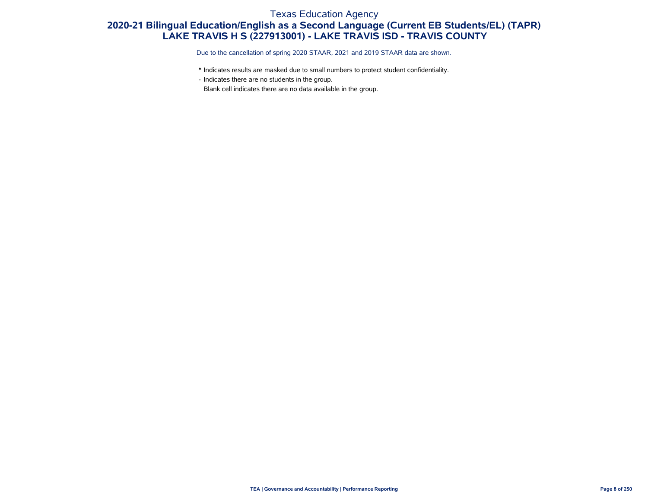#### Texas Education Agency

## **2020-21 Bilingual Education/English as a Second Language (Current EB Students/EL) (TAPR) LAKE TRAVIS H S (227913001) - LAKE TRAVIS ISD - TRAVIS COUNTY**

Due to the cancellation of spring 2020 STAAR, 2021 and 2019 STAAR data are shown.

- \* Indicates results are masked due to small numbers to protect student confidentiality.
- Indicates there are no students in the group.

Blank cell indicates there are no data available in the group.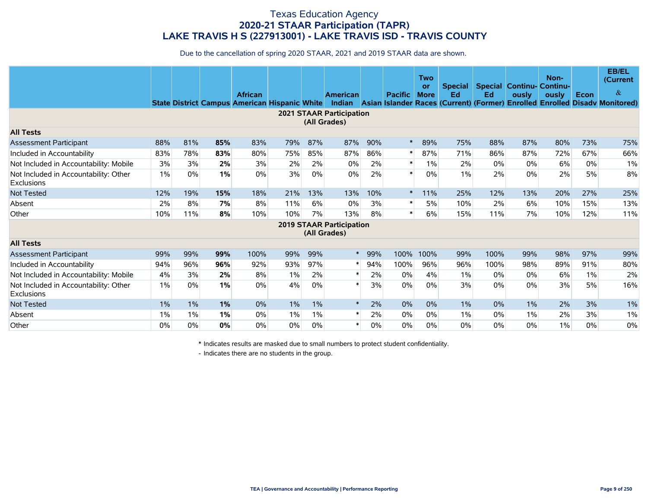## Texas Education Agency **2020-21 STAAR Participation (TAPR) LAKE TRAVIS H S (227913001) - LAKE TRAVIS ISD - TRAVIS COUNTY**

Due to the cancellation of spring 2020 STAAR, 2021 and 2019 STAAR data are shown.

|                                                            |       |     |     | <b>African</b><br><b>State District Campus American Hispanic White</b> |     |       | <b>American</b>                                 |     | <b>Pacific</b> | <b>Two</b><br>or<br><b>More</b> | <b>Special</b><br>Ed | Ed    | <b>Special Continu- Continu-</b><br>ously | Non-<br>ously | Econ  | <b>EB/EL</b><br>(Current<br>&<br>Indian Asian Islander Races (Current) (Former) Enrolled Enrolled Disady Monitored) |
|------------------------------------------------------------|-------|-----|-----|------------------------------------------------------------------------|-----|-------|-------------------------------------------------|-----|----------------|---------------------------------|----------------------|-------|-------------------------------------------|---------------|-------|---------------------------------------------------------------------------------------------------------------------|
|                                                            |       |     |     |                                                                        |     |       | 2021 STAAR Participation                        |     |                |                                 |                      |       |                                           |               |       |                                                                                                                     |
|                                                            |       |     |     |                                                                        |     |       | (All Grades)                                    |     |                |                                 |                      |       |                                           |               |       |                                                                                                                     |
| <b>All Tests</b>                                           |       |     |     |                                                                        |     |       |                                                 |     |                |                                 |                      |       |                                           |               |       |                                                                                                                     |
| <b>Assessment Participant</b>                              | 88%   | 81% | 85% | 83%                                                                    | 79% | 87%   | 87%                                             | 90% | $\ast$         | 89%                             | 75%                  | 88%   | 87%                                       | 80%           | 73%   | 75%                                                                                                                 |
| Included in Accountability                                 | 83%   | 78% | 83% | 80%                                                                    | 75% | 85%   | 87%                                             | 86% | $\ast$         | 87%                             | 71%                  | 86%   | 87%                                       | 72%           | 67%   | 66%                                                                                                                 |
| Not Included in Accountability: Mobile                     | 3%    | 3%  | 2%  | 3%                                                                     | 2%  | 2%    | 0%                                              | 2%  | $\ast$         | 1%                              | 2%                   | $0\%$ | 0%                                        | 6%            | 0%    | 1%                                                                                                                  |
| Not Included in Accountability: Other<br><b>Exclusions</b> | 1%    | 0%  | 1%  | 0%                                                                     | 3%  | 0%    | 0%                                              | 2%  |                | 0%                              | $1\%$                | 2%    | 0%                                        | 2%            | 5%    | 8%                                                                                                                  |
| <b>Not Tested</b>                                          | 12%   | 19% | 15% | 18%                                                                    | 21% | 13%   | 13%                                             | 10% | $\ast$         | 11%                             | 25%                  | 12%   | 13%                                       | 20%           | 27%   | 25%                                                                                                                 |
| Absent                                                     | 2%    | 8%  | 7%  | 8%                                                                     | 11% | 6%    | 0%                                              | 3%  | $\ast$         | 5%                              | 10%                  | 2%    | 6%                                        | 10%           | 15%   | 13%                                                                                                                 |
| Other                                                      | 10%   | 11% | 8%  | 10%                                                                    | 10% | 7%    | 13%                                             | 8%  | $\ast$         | 6%                              | 15%                  | 11%   | 7%                                        | 10%           | 12%   | 11%                                                                                                                 |
|                                                            |       |     |     |                                                                        |     |       | <b>2019 STAAR Participation</b><br>(All Grades) |     |                |                                 |                      |       |                                           |               |       |                                                                                                                     |
| <b>All Tests</b>                                           |       |     |     |                                                                        |     |       |                                                 |     |                |                                 |                      |       |                                           |               |       |                                                                                                                     |
| Assessment Participant                                     | 99%   | 99% | 99% | 100%                                                                   | 99% | 99%   | $\ast$                                          | 99% | 100%           | 100%                            | 99%                  | 100%  | 99%                                       | 98%           | 97%   | 99%                                                                                                                 |
| Included in Accountability                                 | 94%   | 96% | 96% | 92%                                                                    | 93% | 97%   | *                                               | 94% | 100%           | 96%                             | 96%                  | 100%  | 98%                                       | 89%           | 91%   | 80%                                                                                                                 |
| Not Included in Accountability: Mobile                     | 4%    | 3%  | 2%  | 8%                                                                     | 1%  | 2%    |                                                 | 2%  | $0\%$          | 4%                              | 1%                   | 0%    | $0\%$                                     | 6%            | $1\%$ | 2%                                                                                                                  |
| Not Included in Accountability: Other<br><b>Exclusions</b> | 1%    | 0%  | 1%  | 0%                                                                     | 4%  | 0%    |                                                 | 3%  | $0\%$          | 0%                              | 3%                   | $0\%$ | 0%                                        | 3%            | 5%    | 16%                                                                                                                 |
| <b>Not Tested</b>                                          | $1\%$ | 1%  | 1%  | 0%                                                                     | 1%  | $1\%$ | $\ast$                                          | 2%  | 0%             | 0%                              | $1\%$                | 0%    | $1\%$                                     | 2%            | 3%    | 1%                                                                                                                  |
| Absent                                                     | 1%    | 1%  | 1%  | 0%                                                                     | 1%  | 1%    | $\ast$                                          | 2%  | 0%             | 0%                              | $1\%$                | $0\%$ | 1%                                        | 2%            | 3%    | 1%                                                                                                                  |
| Other                                                      | 0%    | 0%  | 0%  | 0%                                                                     | 0%  | 0%    | $\ast$                                          | 0%  | 0%             | 0%                              | 0%                   | $0\%$ | 0%                                        | 1%            | 0%    | 0%                                                                                                                  |

\* Indicates results are masked due to small numbers to protect student confidentiality.

- Indicates there are no students in the group.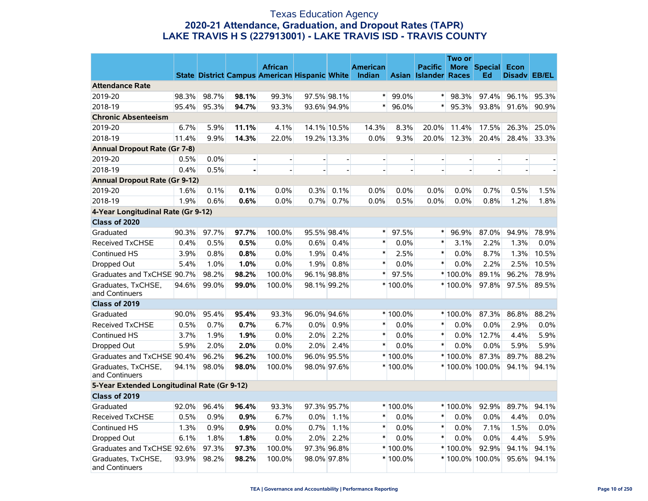#### Texas Education Agency **2020-21 Attendance, Graduation, and Dropout Rates (TAPR) LAKE TRAVIS H S (227913001) - LAKE TRAVIS ISD - TRAVIS COUNTY**

|                                             |       |       |       |                                                                        |             |             |                           |            |                                               | Two or         |                      |                      |       |
|---------------------------------------------|-------|-------|-------|------------------------------------------------------------------------|-------------|-------------|---------------------------|------------|-----------------------------------------------|----------------|----------------------|----------------------|-------|
|                                             |       |       |       | <b>African</b><br><b>State District Campus American Hispanic White</b> |             |             | American<br><b>Indian</b> |            | <b>Pacific</b><br><b>Asian Islander Races</b> | <b>More</b>    | <b>Special</b><br>Ed | Econ<br>Disady EB/EL |       |
| <b>Attendance Rate</b>                      |       |       |       |                                                                        |             |             |                           |            |                                               |                |                      |                      |       |
| 2019-20                                     | 98.3% | 98.7% | 98.1% | 99.3%                                                                  | 97.5% 98.1% |             | $\ast$                    | 99.0%      | $\ast$                                        | 98.3%          | 97.4%                | 96.1%                | 95.3% |
| 2018-19                                     | 95.4% | 95.3% | 94.7% | 93.3%                                                                  | 93.6% 94.9% |             | $\ast$                    | 96.0%      | $\ast$                                        | 95.3%          | 93.8%                | 91.6%                | 90.9% |
| <b>Chronic Absenteeism</b>                  |       |       |       |                                                                        |             |             |                           |            |                                               |                |                      |                      |       |
| 2019-20                                     | 6.7%  | 5.9%  | 11.1% | 4.1%                                                                   |             | 14.1% 10.5% | 14.3%                     | 8.3%       | 20.0%                                         | 11.4%          | 17.5%                | 26.3%                | 25.0% |
| 2018-19                                     | 11.4% | 9.9%  | 14.3% | 22.0%                                                                  |             | 19.2% 13.3% | 0.0%                      | 9.3%       | 20.0%                                         | 12.3%          | 20.4%                | 28.4%                | 33.3% |
| <b>Annual Dropout Rate (Gr 7-8)</b>         |       |       |       |                                                                        |             |             |                           |            |                                               |                |                      |                      |       |
| 2019-20                                     | 0.5%  | 0.0%  |       | $\overline{\phantom{a}}$                                               |             |             |                           |            | $\overline{\phantom{a}}$                      | $\overline{a}$ |                      |                      |       |
| 2018-19                                     | 0.4%  | 0.5%  |       |                                                                        |             |             |                           |            |                                               |                |                      |                      |       |
| <b>Annual Dropout Rate (Gr 9-12)</b>        |       |       |       |                                                                        |             |             |                           |            |                                               |                |                      |                      |       |
| 2019-20                                     | 1.6%  | 0.1%  | 0.1%  | 0.0%                                                                   | 0.3%        | 0.1%        | 0.0%                      | 0.0%       | 0.0%                                          | 0.0%           | 0.7%                 | 0.5%                 | 1.5%  |
| 2018-19                                     | 1.9%  | 0.6%  | 0.6%  | $0.0\%$                                                                | 0.7%        | 0.7%        | 0.0%                      | 0.5%       | 0.0%                                          | 0.0%           | 0.8%                 | 1.2%                 | 1.8%  |
| 4-Year Longitudinal Rate (Gr 9-12)          |       |       |       |                                                                        |             |             |                           |            |                                               |                |                      |                      |       |
| Class of 2020                               |       |       |       |                                                                        |             |             |                           |            |                                               |                |                      |                      |       |
| Graduated                                   | 90.3% | 97.7% | 97.7% | 100.0%                                                                 | 95.5% 98.4% |             | $\ast$                    | 97.5%      | $\ast$                                        | 96.9%          | 87.0%                | 94.9%                | 78.9% |
| <b>Received TxCHSE</b>                      | 0.4%  | 0.5%  | 0.5%  | 0.0%                                                                   | 0.6%        | 0.4%        | $\ast$                    | 0.0%       | $\pmb{\ast}$                                  | 3.1%           | 2.2%                 | 1.3%                 | 0.0%  |
| Continued HS                                | 3.9%  | 0.8%  | 0.8%  | 0.0%                                                                   | 1.9%        | 0.4%        | $\ast$                    | 2.5%       | $\ast$                                        | 0.0%           | 8.7%                 | 1.3%                 | 10.5% |
| Dropped Out                                 | 5.4%  | 1.0%  | 1.0%  | $0.0\%$                                                                | 1.9%        | 0.8%        | $\ast$                    | 0.0%       | $\ast$                                        | 0.0%           | 2.2%                 | 2.5%                 | 10.5% |
| Graduates and TxCHSE 90.7%                  |       | 98.2% | 98.2% | 100.0%                                                                 | 96.1% 98.8% |             | $\ast$                    | 97.5%      |                                               | $*100.0\%$     | 89.1%                | 96.2%                | 78.9% |
| Graduates, TxCHSE,<br>and Continuers        | 94.6% | 99.0% | 99.0% | 100.0%                                                                 | 98.1% 99.2% |             |                           | $*100.0\%$ |                                               | $*100.0\%$     | 97.8%                | 97.5%                | 89.5% |
| Class of 2019                               |       |       |       |                                                                        |             |             |                           |            |                                               |                |                      |                      |       |
| Graduated                                   | 90.0% | 95.4% | 95.4% | 93.3%                                                                  | 96.0% 94.6% |             |                           | $*100.0\%$ |                                               | $*100.0\%$     | 87.3%                | 86.8%                | 88.2% |
| <b>Received TxCHSE</b>                      | 0.5%  | 0.7%  | 0.7%  | 6.7%                                                                   | $0.0\%$     | 0.9%        | $\ast$                    | 0.0%       | $\ast$                                        | 0.0%           | 0.0%                 | 2.9%                 | 0.0%  |
| Continued HS                                | 3.7%  | 1.9%  | 1.9%  | $0.0\%$                                                                | 2.0%        | 2.2%        | $\ast$                    | 0.0%       | $\ast$                                        | $0.0\%$        | 12.7%                | 4.4%                 | 5.9%  |
| Dropped Out                                 | 5.9%  | 2.0%  | 2.0%  | 0.0%                                                                   | 2.0%        | 2.4%        | $\pmb{\ast}$              | 0.0%       | $\ast$                                        | 0.0%           | 0.0%                 | 5.9%                 | 5.9%  |
| Graduates and TxCHSE 90.4%                  |       | 96.2% | 96.2% | 100.0%                                                                 | 96.0% 95.5% |             |                           | $*100.0\%$ |                                               | $*100.0\%$     | 87.3%                | 89.7%                | 88.2% |
| Graduates, TxCHSE,<br>and Continuers        | 94.1% | 98.0% | 98.0% | 100.0%                                                                 | 98.0% 97.6% |             |                           | $*100.0\%$ |                                               |                | * 100.0% 100.0%      | 94.1%                | 94.1% |
| 5-Year Extended Longitudinal Rate (Gr 9-12) |       |       |       |                                                                        |             |             |                           |            |                                               |                |                      |                      |       |
| Class of 2019                               |       |       |       |                                                                        |             |             |                           |            |                                               |                |                      |                      |       |
| Graduated                                   | 92.0% | 96.4% | 96.4% | 93.3%                                                                  | 97.3% 95.7% |             |                           | $*100.0\%$ |                                               | $*100.0\%$     | 92.9%                | 89.7%                | 94.1% |
| <b>Received TxCHSE</b>                      | 0.5%  | 0.9%  | 0.9%  | 6.7%                                                                   | 0.0%        | 1.1%        | $\ast$                    | 0.0%       | $\ast$                                        | 0.0%           | 0.0%                 | 4.4%                 | 0.0%  |
| Continued HS                                | 1.3%  | 0.9%  | 0.9%  | 0.0%                                                                   | 0.7%        | 1.1%        | $\ast$                    | 0.0%       | $\ast$                                        | 0.0%           | 7.1%                 | 1.5%                 | 0.0%  |
| Dropped Out                                 | 6.1%  | 1.8%  | 1.8%  | 0.0%                                                                   | 2.0%        | 2.2%        | $\ast$                    | 0.0%       | $\ast$                                        | 0.0%           | 0.0%                 | 4.4%                 | 5.9%  |
| Graduates and TxCHSE 92.6%                  |       | 97.3% | 97.3% | 100.0%                                                                 | 97.3% 96.8% |             |                           | $*100.0\%$ |                                               | $*100.0\%$     | 92.9%                | 94.1%                | 94.1% |
| Graduates, TxCHSE,<br>and Continuers        | 93.9% | 98.2% | 98.2% | 100.0%                                                                 | 98.0% 97.8% |             |                           | $*100.0\%$ |                                               |                | * 100.0% 100.0%      | 95.6%                | 94.1% |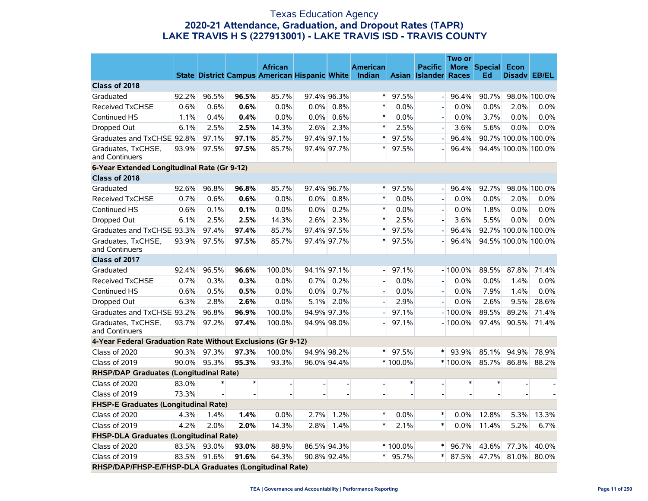## Texas Education Agency **2020-21 Attendance, Graduation, and Dropout Rates (TAPR) LAKE TRAVIS H S (227913001) - LAKE TRAVIS ISD - TRAVIS COUNTY**

|                                                             |       |       |         |                                                                        |               |             |                          |            |                                  | <b>Two or</b>               |                      |                      |              |
|-------------------------------------------------------------|-------|-------|---------|------------------------------------------------------------------------|---------------|-------------|--------------------------|------------|----------------------------------|-----------------------------|----------------------|----------------------|--------------|
|                                                             |       |       |         | <b>African</b><br><b>State District Campus American Hispanic White</b> |               |             | American<br>Indian       |            | <b>Pacific</b><br>Asian Islander | <b>More</b><br><b>Races</b> | <b>Special</b><br>Ed | Econ<br>Disady EB/EL |              |
| Class of 2018                                               |       |       |         |                                                                        |               |             |                          |            |                                  |                             |                      |                      |              |
| Graduated                                                   | 92.2% | 96.5% | 96.5%   | 85.7%                                                                  |               | 97.4% 96.3% | $\ast$                   | 97.5%      | $\overline{a}$                   | 96.4%                       | 90.7%                |                      | 98.0% 100.0% |
| <b>Received TxCHSE</b>                                      | 0.6%  | 0.6%  | 0.6%    | 0.0%                                                                   | $0.0\%$       | 0.8%        | $\pmb{\ast}$             | 0.0%       | $\overline{a}$                   | 0.0%                        | 0.0%                 | 2.0%                 | 0.0%         |
| Continued HS                                                | 1.1%  | 0.4%  | 0.4%    | 0.0%                                                                   | 0.0%          | 0.6%        | $\ast$                   | 0.0%       | $\overline{\phantom{a}}$         | 0.0%                        | 3.7%                 | 0.0%                 | 0.0%         |
| Dropped Out                                                 | 6.1%  | 2.5%  | 2.5%    | 14.3%                                                                  | 2.6%          | 2.3%        | $\ast$                   | 2.5%       |                                  | 3.6%                        | 5.6%                 | 0.0%                 | 0.0%         |
| Graduates and TxCHSE 92.8%                                  |       | 97.1% | 97.1%   | 85.7%                                                                  |               | 97.4% 97.1% | $\ast$                   | 97.5%      |                                  | 96.4%                       |                      | 90.7% 100.0% 100.0%  |              |
| Graduates, TxCHSE,<br>and Continuers                        | 93.9% | 97.5% | 97.5%   | 85.7%                                                                  |               | 97.4% 97.7% | $\ast$                   | 97.5%      |                                  | 96.4%                       |                      | 94.4% 100.0% 100.0%  |              |
| 6-Year Extended Longitudinal Rate (Gr 9-12)                 |       |       |         |                                                                        |               |             |                          |            |                                  |                             |                      |                      |              |
| Class of 2018                                               |       |       |         |                                                                        |               |             |                          |            |                                  |                             |                      |                      |              |
| Graduated                                                   | 92.6% | 96.8% | 96.8%   | 85.7%                                                                  |               | 97.4% 96.7% | $\ast$                   | 97.5%      | $\overline{\phantom{a}}$         | 96.4%                       | 92.7%                |                      | 98.0% 100.0% |
| <b>Received TxCHSE</b>                                      | 0.7%  | 0.6%  | 0.6%    | $0.0\%$                                                                | $0.0\%$       | 0.8%        | $\ast$                   | 0.0%       | $\overline{\phantom{a}}$         | 0.0%                        | 0.0%                 | 2.0%                 | 0.0%         |
| Continued HS                                                | 0.6%  | 0.1%  | 0.1%    | 0.0%                                                                   | $0.0\%$       | 0.2%        | $\pmb{\ast}$             | 0.0%       | $\blacksquare$                   | 0.0%                        | 1.8%                 | 0.0%                 | 0.0%         |
| Dropped Out                                                 | 6.1%  | 2.5%  | 2.5%    | 14.3%                                                                  | 2.6%          | 2.3%        | $\ast$                   | 2.5%       |                                  | 3.6%                        | 5.5%                 | 0.0%                 | 0.0%         |
| Graduates and TxCHSE 93.3%                                  |       | 97.4% | 97.4%   | 85.7%                                                                  |               | 97.4% 97.5% | $\ast$                   | 97.5%      |                                  | 96.4%                       |                      | 92.7% 100.0% 100.0%  |              |
| Graduates, TxCHSE,<br>and Continuers                        | 93.9% | 97.5% | 97.5%   | 85.7%                                                                  |               | 97.4% 97.7% | $\ast$                   | 97.5%      |                                  | 96.4%                       |                      | 94.5% 100.0% 100.0%  |              |
| Class of 2017                                               |       |       |         |                                                                        |               |             |                          |            |                                  |                             |                      |                      |              |
| Graduated                                                   | 92.4% | 96.5% | 96.6%   | 100.0%                                                                 |               | 94.1% 97.1% |                          | $-$ 97.1%  |                                  | $-100.0\%$                  | 89.5%                | 87.8%                | 71.4%        |
| Received TxCHSE                                             | 0.7%  | 0.3%  | 0.3%    | 0.0%                                                                   | 0.7%          | 0.2%        | 니                        | 0.0%       |                                  | 0.0%                        | 0.0%                 | 1.4%                 | 0.0%         |
| Continued HS                                                | 0.6%  | 0.5%  | 0.5%    | $0.0\%$                                                                | 0.0%          | 0.7%        | $\overline{\phantom{a}}$ | 0.0%       |                                  | 0.0%                        | 7.9%                 | 1.4%                 | 0.0%         |
| Dropped Out                                                 | 6.3%  | 2.8%  | 2.6%    | $0.0\%$                                                                | 5.1%          | 2.0%        | $\sim$                   | 2.9%       | $\overline{a}$                   | $0.0\%$                     | 2.6%                 | 9.5%                 | 28.6%        |
| Graduates and TxCHSE 93.2%                                  |       | 96.8% | 96.9%   | 100.0%                                                                 |               | 94.9% 97.3% |                          | 97.1%      |                                  | $-100.0\%$                  | 89.5%                | 89.2%                | 71.4%        |
| Graduates, TxCHSE,<br>and Continuers                        | 93.7% | 97.2% | 97.4%   | 100.0%                                                                 |               | 94.9% 98.0% |                          | 97.1%      |                                  | $-100.0\%$                  | 97.4%                | 90.5%                | 71.4%        |
| 4-Year Federal Graduation Rate Without Exclusions (Gr 9-12) |       |       |         |                                                                        |               |             |                          |            |                                  |                             |                      |                      |              |
| Class of 2020                                               | 90.3% | 97.3% | 97.3%   | 100.0%                                                                 |               | 94.9% 98.2% |                          | $*$ 97.5%  | $\ast$                           | 93.9%                       | 85.1%                | 94.9%                | 78.9%        |
| Class of 2019                                               | 90.0% | 95.3% | 95.3%   | 93.3%                                                                  |               | 96.0% 94.4% |                          | $*100.0\%$ |                                  | $*100.0\%$                  | 85.7%                | 86.8%                | 88.2%        |
| <b>RHSP/DAP Graduates (Longitudinal Rate)</b>               |       |       |         |                                                                        |               |             |                          |            |                                  |                             |                      |                      |              |
| Class of 2020                                               | 83.0% |       | $\star$ | $\blacksquare$                                                         | $\frac{1}{2}$ |             |                          | $\ast$     | $\frac{1}{2}$                    | $\ast$                      | $\ast$               |                      |              |
| Class of 2019                                               | 73.3% |       |         | $\overline{a}$                                                         |               |             |                          |            |                                  |                             |                      |                      |              |
| <b>FHSP-E Graduates (Longitudinal Rate)</b>                 |       |       |         |                                                                        |               |             |                          |            |                                  |                             |                      |                      |              |
| Class of 2020                                               | 4.3%  | 1.4%  | 1.4%    | 0.0%                                                                   | 2.7%          | 1.2%        | $\ast$                   | $0.0\%$    | $\ast$                           | 0.0%                        | 12.8%                | 5.3%                 | 13.3%        |
| Class of 2019                                               | 4.2%  | 2.0%  | 2.0%    | 14.3%                                                                  | 2.8%          | 1.4%        | $\ast$                   | 2.1%       | $\ast$                           | 0.0%                        | 11.4%                | 5.2%                 | 6.7%         |
| <b>FHSP-DLA Graduates (Longitudinal Rate)</b>               |       |       |         |                                                                        |               |             |                          |            |                                  |                             |                      |                      |              |
| Class of 2020                                               | 83.5% | 93.0% | 93.0%   | 88.9%                                                                  |               | 86.5% 94.3% |                          | $*100.0\%$ | $\ast$                           | 96.7%                       | 43.6%                | 77.3%                | 40.0%        |
| Class of 2019                                               | 83.5% | 91.6% | 91.6%   | 64.3%                                                                  |               | 90.8% 92.4% | $\ast$                   | 95.7%      | $\ast$                           | 87.5%                       | 47.7%                | 81.0%                | 80.0%        |
| RHSP/DAP/FHSP-E/FHSP-DLA Graduates (Longitudinal Rate)      |       |       |         |                                                                        |               |             |                          |            |                                  |                             |                      |                      |              |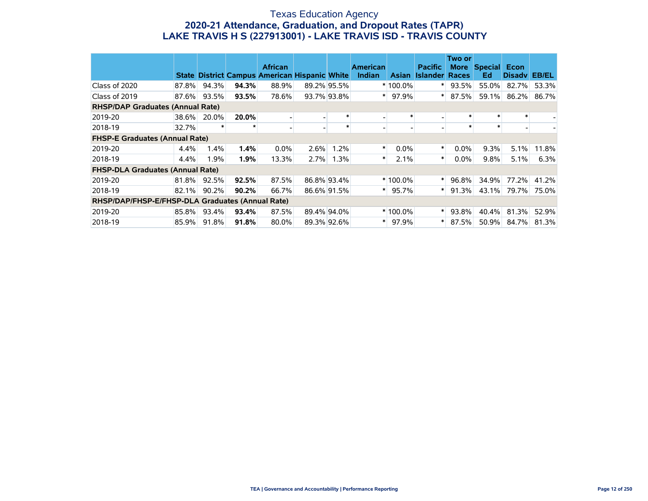### Texas Education Agency **2020-21 Attendance, Graduation, and Dropout Rates (TAPR) LAKE TRAVIS H S (227913001) - LAKE TRAVIS ISD - TRAVIS COUNTY**

|                                                  |       |       |       | <b>African</b>                                       |             |             | American |            | <b>Pacific</b>  | <b>Two or</b><br><b>More</b> | <b>Special</b> | Econ          |       |
|--------------------------------------------------|-------|-------|-------|------------------------------------------------------|-------------|-------------|----------|------------|-----------------|------------------------------|----------------|---------------|-------|
|                                                  |       |       |       | <b>State District Campus American Hispanic White</b> |             |             | Indian   | Asian      | <b>Islander</b> | <b>Races</b>                 | Ed             | <b>Disady</b> | EB/EL |
| Class of 2020                                    | 87.8% | 94.3% | 94.3% | 88.9%                                                | 89.2% 95.5% |             |          | $*100.0\%$ | $\ast$          | 93.5%                        | 55.0%          | 82.7%         | 53.3% |
| Class of 2019                                    | 87.6% | 93.5% | 93.5% | 78.6%                                                |             | 93.7% 93.8% |          | 97.9%      | ∗               | 87.5%                        | 59.1%          | 86.2%         | 86.7% |
| <b>RHSP/DAP Graduates (Annual Rate)</b>          |       |       |       |                                                      |             |             |          |            |                 |                              |                |               |       |
| 2019-20                                          | 38.6% | 20.0% | 20.0% |                                                      |             | $\ast$      |          | $\ast$     |                 | $\ast$                       | $\star$        | $\ast$        |       |
| 2018-19                                          | 32.7% | ж     |       |                                                      |             |             |          |            |                 | $\star$                      |                |               |       |
| <b>FHSP-E Graduates (Annual Rate)</b>            |       |       |       |                                                      |             |             |          |            |                 |                              |                |               |       |
| 2019-20                                          | 4.4%  | 1.4%  | 1.4%  | $0.0\%$                                              | 2.6%        | 1.2%        | $\ast$   | $0.0\%$    | $\ast$          | $0.0\%$                      | 9.3%           | 5.1%          | 11.8% |
| 2018-19                                          | 4.4%  | 1.9%  | 1.9%  | 13.3%                                                | 2.7%        | 1.3%        | $\ast$   | 2.1%       | $\ast$          | $0.0\%$                      | 9.8%           | 5.1%          | 6.3%  |
| <b>FHSP-DLA Graduates (Annual Rate)</b>          |       |       |       |                                                      |             |             |          |            |                 |                              |                |               |       |
| 2019-20                                          | 81.8% | 92.5% | 92.5% | 87.5%                                                |             | 86.8% 93.4% |          | $*100.0\%$ | $\ast$          | 96.8%                        | 34.9%          | 77.2%         | 41.2% |
| 2018-19                                          | 82.1% | 90.2% | 90.2% | 66.7%                                                |             | 86.6% 91.5% | ∗        | 95.7%      | $\ast$          | 91.3%                        | 43.1%          | 79.7%         | 75.0% |
| RHSP/DAP/FHSP-E/FHSP-DLA Graduates (Annual Rate) |       |       |       |                                                      |             |             |          |            |                 |                              |                |               |       |
| 2019-20                                          | 85.8% | 93.4% | 93.4% | 87.5%                                                |             | 89.4% 94.0% |          | $*100.0\%$ | $\ast$          | 93.8%                        | 40.4%          | 81.3%         | 52.9% |
| 2018-19                                          | 85.9% | 91.8% | 91.8% | 80.0%                                                |             | 89.3% 92.6% |          | 97.9%      | ∗               | 87.5%                        | 50.9%          | 84.7%         | 81.3% |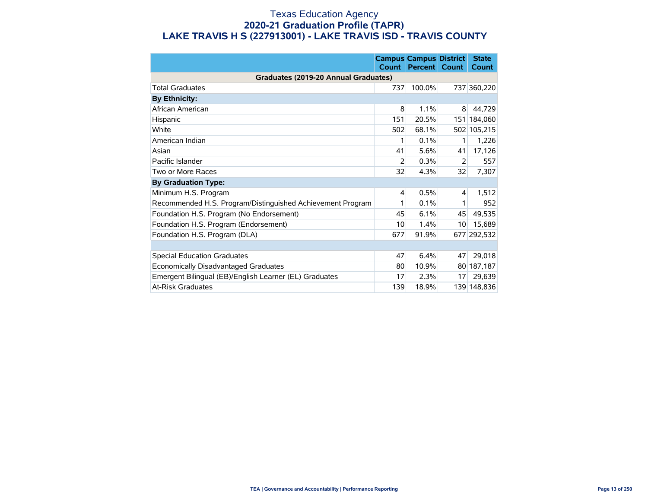### Texas Education Agency **2020-21 Graduation Profile (TAPR) LAKE TRAVIS H S (227913001) - LAKE TRAVIS ISD - TRAVIS COUNTY**

|                                                            | Count | <b>Campus Campus District</b><br><b>Percent Count</b> |                | <b>State</b><br>Count |
|------------------------------------------------------------|-------|-------------------------------------------------------|----------------|-----------------------|
| Graduates (2019-20 Annual Graduates)                       |       |                                                       |                |                       |
| Total Graduates                                            | 737   | 100.0%                                                |                | 737 360,220           |
| <b>By Ethnicity:</b>                                       |       |                                                       |                |                       |
| African American                                           | 8     | 1.1%                                                  | 8              | 44,729                |
| Hispanic                                                   | 151   | 20.5%                                                 | 151            | 184,060               |
| White                                                      | 502   | 68.1%                                                 |                | 502 105,215           |
| American Indian                                            | 1     | 0.1%                                                  | 1              | 1,226                 |
| Asian                                                      | 41    | 5.6%                                                  | 41             | 17,126                |
| Pacific Islander                                           | 2     | 0.3%                                                  | $\overline{2}$ | 557                   |
| Two or More Races                                          | 32    | 4.3%                                                  | 32             | 7,307                 |
| <b>By Graduation Type:</b>                                 |       |                                                       |                |                       |
| Minimum H.S. Program                                       | 4     | 0.5%                                                  | 4              | 1,512                 |
| Recommended H.S. Program/Distinguished Achievement Program |       | 0.1%                                                  | 1              | 952                   |
| Foundation H.S. Program (No Endorsement)                   | 45    | 6.1%                                                  | 45             | 49,535                |
| Foundation H.S. Program (Endorsement)                      | 10    | 1.4%                                                  | 10             | 15,689                |
| Foundation H.S. Program (DLA)                              | 677   | 91.9%                                                 |                | 677 292,532           |
|                                                            |       |                                                       |                |                       |
| <b>Special Education Graduates</b>                         | 47    | 6.4%                                                  | 47             | 29,018                |
| Economically Disadvantaged Graduates                       | 80    | 10.9%                                                 | 80             | 187,187               |
| Emergent Bilingual (EB)/English Learner (EL) Graduates     | 17    | 2.3%                                                  | 17             | 29,639                |
| <b>At-Risk Graduates</b>                                   | 139   | 18.9%                                                 |                | 139 148,836           |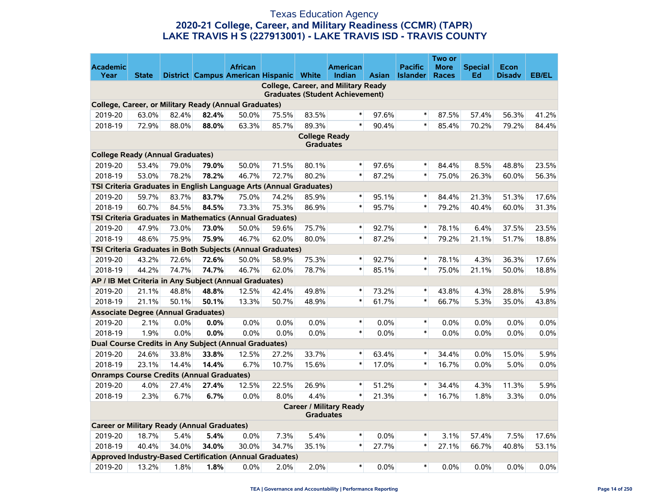Texas Education Agency **2020-21 College, Career, and Military Readiness (CCMR) (TAPR) LAKE TRAVIS H S (227913001) - LAKE TRAVIS ISD - TRAVIS COUNTY**

| <b>Academic</b>                                                    |              |       |       | <b>African</b>                          |       |                                          | American                                                                             |              | <b>Pacific</b>  | Two or<br><b>More</b> | <b>Special</b> | Econ          |         |
|--------------------------------------------------------------------|--------------|-------|-------|-----------------------------------------|-------|------------------------------------------|--------------------------------------------------------------------------------------|--------------|-----------------|-----------------------|----------------|---------------|---------|
| Year                                                               | <b>State</b> |       |       | District Campus American Hispanic White |       |                                          | Indian                                                                               | <b>Asian</b> | <b>Islander</b> | <b>Races</b>          | Ed             | <b>Disadv</b> | EB/EL   |
|                                                                    |              |       |       |                                         |       |                                          | <b>College, Career, and Military Ready</b><br><b>Graduates (Student Achievement)</b> |              |                 |                       |                |               |         |
| College, Career, or Military Ready (Annual Graduates)              |              |       |       |                                         |       |                                          |                                                                                      |              |                 |                       |                |               |         |
| 2019-20                                                            | 63.0%        | 82.4% | 82.4% | 50.0%                                   | 75.5% | 83.5%                                    | $\ast$                                                                               | 97.6%        | *               | 87.5%                 | 57.4%          | 56.3%         | 41.2%   |
| 2018-19                                                            | 72.9%        | 88.0% | 88.0% | 63.3%                                   | 85.7% | 89.3%                                    | $\ast$                                                                               | 90.4%        | $\ast$          | 85.4%                 | 70.2%          | 79.2%         | 84.4%   |
|                                                                    |              |       |       |                                         |       | <b>College Ready</b><br><b>Graduates</b> |                                                                                      |              |                 |                       |                |               |         |
| <b>College Ready (Annual Graduates)</b>                            |              |       |       |                                         |       |                                          |                                                                                      |              |                 |                       |                |               |         |
| 2019-20                                                            | 53.4%        | 79.0% | 79.0% | 50.0%                                   | 71.5% | 80.1%                                    | $\ast$                                                                               | 97.6%        | *               | 84.4%                 | 8.5%           | 48.8%         | 23.5%   |
| 2018-19                                                            | 53.0%        | 78.2% | 78.2% | 46.7%                                   | 72.7% | 80.2%                                    | $\ast$                                                                               | 87.2%        | $\ast$          | 75.0%                 | 26.3%          | 60.0%         | 56.3%   |
| TSI Criteria Graduates in English Language Arts (Annual Graduates) |              |       |       |                                         |       |                                          |                                                                                      |              |                 |                       |                |               |         |
| 2019-20                                                            | 59.7%        | 83.7% | 83.7% | 75.0%                                   | 74.2% | 85.9%                                    | $\ast$                                                                               | 95.1%        | $\ast$          | 84.4%                 | 21.3%          | 51.3%         | 17.6%   |
| 2018-19                                                            | 60.7%        | 84.5% | 84.5% | 73.3%                                   | 75.3% | 86.9%                                    | $\ast$                                                                               | 95.7%        | $\ast$          | 79.2%                 | 40.4%          | 60.0%         | 31.3%   |
| TSI Criteria Graduates in Mathematics (Annual Graduates)           |              |       |       |                                         |       |                                          |                                                                                      |              |                 |                       |                |               |         |
| 2019-20                                                            | 47.9%        | 73.0% | 73.0% | 50.0%                                   | 59.6% | 75.7%                                    | $\ast$                                                                               | 92.7%        | $\ast$          | 78.1%                 | 6.4%           | 37.5%         | 23.5%   |
| 2018-19                                                            | 48.6%        | 75.9% | 75.9% | 46.7%                                   | 62.0% | 80.0%                                    | $\ast$                                                                               | 87.2%        | $\ast$          | 79.2%                 | 21.1%          | 51.7%         | 18.8%   |
| TSI Criteria Graduates in Both Subjects (Annual Graduates)         |              |       |       |                                         |       |                                          |                                                                                      |              |                 |                       |                |               |         |
| 2019-20                                                            | 43.2%        | 72.6% | 72.6% | 50.0%                                   | 58.9% | 75.3%                                    | $\ast$                                                                               | 92.7%        | $\ast$          | 78.1%                 | 4.3%           | 36.3%         | 17.6%   |
| 2018-19                                                            | 44.2%        | 74.7% | 74.7% | 46.7%                                   | 62.0% | 78.7%                                    | $\ast$                                                                               | 85.1%        | $\ast$          | 75.0%                 | 21.1%          | 50.0%         | 18.8%   |
| AP / IB Met Criteria in Any Subject (Annual Graduates)             |              |       |       |                                         |       |                                          |                                                                                      |              |                 |                       |                |               |         |
| 2019-20                                                            | 21.1%        | 48.8% | 48.8% | 12.5%                                   | 42.4% | 49.8%                                    | $\ast$                                                                               | 73.2%        | $\ast$          | 43.8%                 | 4.3%           | 28.8%         | 5.9%    |
| 2018-19                                                            | 21.1%        | 50.1% | 50.1% | 13.3%                                   | 50.7% | 48.9%                                    | $\pmb{\ast}$                                                                         | 61.7%        | $\ast$          | 66.7%                 | 5.3%           | 35.0%         | 43.8%   |
| <b>Associate Degree (Annual Graduates)</b>                         |              |       |       |                                         |       |                                          |                                                                                      |              |                 |                       |                |               |         |
| 2019-20                                                            | 2.1%         | 0.0%  | 0.0%  | $0.0\%$                                 | 0.0%  | 0.0%                                     | $\ast$                                                                               | $0.0\%$      | $\ast$          | 0.0%                  | 0.0%           | 0.0%          | $0.0\%$ |
| 2018-19                                                            | 1.9%         | 0.0%  | 0.0%  | 0.0%                                    | 0.0%  | 0.0%                                     | $\ast$                                                                               | 0.0%         | $\ast$          | 0.0%                  | 0.0%           | 0.0%          | 0.0%    |
| Dual Course Credits in Any Subject (Annual Graduates)              |              |       |       |                                         |       |                                          |                                                                                      |              |                 |                       |                |               |         |
| 2019-20                                                            | 24.6%        | 33.8% | 33.8% | 12.5%                                   | 27.2% | 33.7%                                    | $\pmb{\ast}$                                                                         | 63.4%        | $\ast$          | 34.4%                 | 0.0%           | 15.0%         | 5.9%    |
| 2018-19                                                            | 23.1%        | 14.4% | 14.4% | 6.7%                                    | 10.7% | 15.6%                                    | $\ast$                                                                               | 17.0%        | $\ast$          | 16.7%                 | 0.0%           | 5.0%          | 0.0%    |
| <b>Onramps Course Credits (Annual Graduates)</b>                   |              |       |       |                                         |       |                                          |                                                                                      |              |                 |                       |                |               |         |
| 2019-20                                                            | 4.0%         | 27.4% | 27.4% | 12.5%                                   | 22.5% | 26.9%                                    | $\ast$                                                                               | 51.2%        | $\ast$          | 34.4%                 | 4.3%           | 11.3%         | 5.9%    |
| 2018-19                                                            | 2.3%         | 6.7%  | 6.7%  | 0.0%                                    | 8.0%  | 4.4%                                     | $\ast$                                                                               | 21.3%        | $\ast$          | 16.7%                 | 1.8%           | 3.3%          | 0.0%    |
|                                                                    |              |       |       |                                         |       | <b>Graduates</b>                         | <b>Career / Military Ready</b>                                                       |              |                 |                       |                |               |         |
| <b>Career or Military Ready (Annual Graduates)</b>                 |              |       |       |                                         |       |                                          |                                                                                      |              |                 |                       |                |               |         |
| 2019-20                                                            | 18.7%        | 5.4%  | 5.4%  | $0.0\%$                                 | 7.3%  | 5.4%                                     | $\pmb{\ast}$                                                                         | 0.0%         | $\ast$          | 3.1%                  | 57.4%          | 7.5%          | 17.6%   |
| 2018-19                                                            | 40.4%        | 34.0% | 34.0% | 30.0%                                   | 34.7% | 35.1%                                    | $\ast$                                                                               | 27.7%        | $\ast$          | 27.1%                 | 66.7%          | 40.8%         | 53.1%   |
| Approved Industry-Based Certification (Annual Graduates)           |              |       |       |                                         |       |                                          |                                                                                      |              |                 |                       |                |               |         |
| 2019-20                                                            | 13.2%        | 1.8%  | 1.8%  | 0.0%                                    | 2.0%  | 2.0%                                     | $\ast$                                                                               | 0.0%         | *               | 0.0%                  | 0.0%           | 0.0%          | 0.0%    |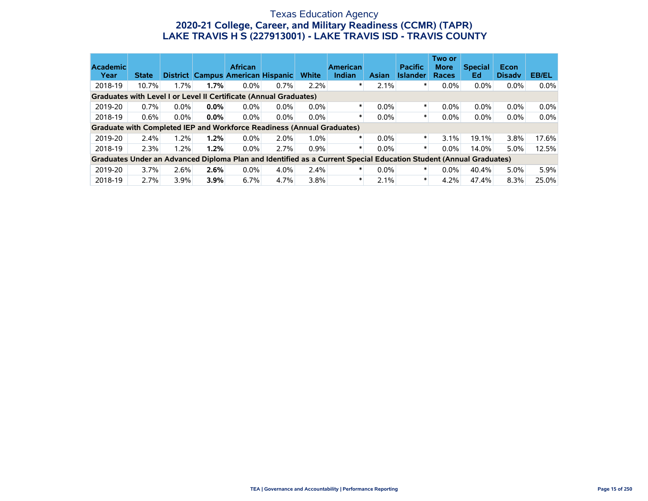### Texas Education Agency **2020-21 College, Career, and Military Readiness (CCMR) (TAPR) LAKE TRAVIS H S (227913001) - LAKE TRAVIS ISD - TRAVIS COUNTY**

| <b>Academic</b><br>Year                                                                                           | <b>State</b> |         |         | <b>African</b><br>District Campus American Hispanic |         | <b>White</b> | <b>American</b><br>Indian | <b>Asian</b> | <b>Pacific</b><br><b>Islander</b> | Two or<br><b>More</b><br><b>Races</b> | <b>Special</b><br>Ed. | Econ<br><b>Disady</b> | EB/EL   |
|-------------------------------------------------------------------------------------------------------------------|--------------|---------|---------|-----------------------------------------------------|---------|--------------|---------------------------|--------------|-----------------------------------|---------------------------------------|-----------------------|-----------------------|---------|
| 2018-19                                                                                                           | 10.7%        | 1.7%    | 1.7%    | $0.0\%$                                             | $0.7\%$ | 2.2%         |                           | 2.1%         | $\ast$                            | $0.0\%$                               | $0.0\%$               | $0.0\%$               | $0.0\%$ |
| Graduates with Level I or Level II Certificate (Annual Graduates)                                                 |              |         |         |                                                     |         |              |                           |              |                                   |                                       |                       |                       |         |
| 2019-20                                                                                                           | 0.7%         | $0.0\%$ | $0.0\%$ | $0.0\%$                                             | $0.0\%$ | $0.0\%$      |                           | $0.0\%$      | $\ast$                            | $0.0\%$                               | 0.0%                  | $0.0\%$               | $0.0\%$ |
| 2018-19                                                                                                           | 0.6%         | $0.0\%$ | $0.0\%$ | $0.0\%$                                             | $0.0\%$ | $0.0\%$      |                           | $0.0\%$      | $\ast$                            | $0.0\%$                               | $0.0\%$               | $0.0\%$               | $0.0\%$ |
| <b>Graduate with Completed IEP and Workforce Readiness (Annual Graduates)</b>                                     |              |         |         |                                                     |         |              |                           |              |                                   |                                       |                       |                       |         |
| 2019-20                                                                                                           | 2.4%         | 1.2%    | 1.2%    | $0.0\%$                                             | 2.0%    | 1.0%         |                           | $0.0\%$      | $\ast$                            | $3.1\%$                               | 19.1%                 | 3.8%                  | 17.6%   |
| 2018-19                                                                                                           | 2.3%         | 1.2%    | 1.2%    | $0.0\%$                                             | 2.7%    | 0.9%         |                           | $0.0\%$      | $\ast$                            | $0.0\%$                               | 14.0%                 | $5.0\%$               | 12.5%   |
| Graduates Under an Advanced Diploma Plan and Identified as a Current Special Education Student (Annual Graduates) |              |         |         |                                                     |         |              |                           |              |                                   |                                       |                       |                       |         |
| 2019-20                                                                                                           | 3.7%         | 2.6%    | 2.6%    | $0.0\%$                                             | $4.0\%$ | $2.4\%$      |                           | $0.0\%$      |                                   | $0.0\%$                               | 40.4%                 | 5.0%                  | 5.9%    |
| 2018-19                                                                                                           | 2.7%         | 3.9%    | 3.9%    | 6.7%                                                | 4.7%    | $3.8\%$      |                           | 2.1%         |                                   | 4.2%                                  | 47.4%                 | 8.3%                  | 25.0%   |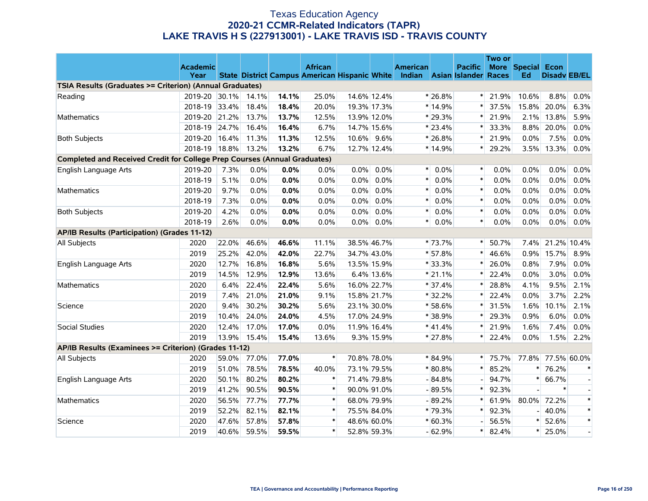#### Texas Education Agency **2020-21 CCMR-Related Indicators (TAPR) LAKE TRAVIS H S (227913001) - LAKE TRAVIS ISD - TRAVIS COUNTY**

|                                                                                  |                         |       |       |       |                                                                 |             |             |                                         |           |                | Two or      |                           |                     |        |
|----------------------------------------------------------------------------------|-------------------------|-------|-------|-------|-----------------------------------------------------------------|-------------|-------------|-----------------------------------------|-----------|----------------|-------------|---------------------------|---------------------|--------|
|                                                                                  | <b>Academic</b><br>Year |       |       |       | <b>African</b><br>State District Campus American Hispanic White |             |             | American<br>Indian Asian Islander Races |           | <b>Pacific</b> | <b>More</b> | <b>Special Econ</b><br>Ed | <b>Disadv EB/EL</b> |        |
| TSIA Results (Graduates >= Criterion) (Annual Graduates)                         |                         |       |       |       |                                                                 |             |             |                                         |           |                |             |                           |                     |        |
| Reading                                                                          | 2019-20                 | 30.1% | 14.1% | 14.1% | 25.0%                                                           | 14.6% 12.4% |             |                                         | $*26.8%$  | $\ast$         | 21.9%       | 10.6%                     | 8.8%                | 0.0%   |
|                                                                                  | 2018-19                 | 33.4% | 18.4% | 18.4% | 20.0%                                                           |             | 19.3% 17.3% |                                         | $*14.9%$  |                | 37.5%       | 15.8%                     | 20.0%               | 6.3%   |
| <b>Mathematics</b>                                                               | 2019-20                 | 21.2% | 13.7% | 13.7% | 12.5%                                                           |             | 13.9% 12.0% |                                         | $*29.3%$  |                | 21.9%       | 2.1%                      | 13.8%               | 5.9%   |
|                                                                                  | 2018-19                 | 24.7% | 16.4% | 16.4% | 6.7%                                                            |             | 14.7% 15.6% |                                         | $*23.4%$  |                | 33.3%       | 8.8%                      | 20.0%               | 0.0%   |
| <b>Both Subjects</b>                                                             | 2019-20                 | 16.4% | 11.3% | 11.3% | 12.5%                                                           |             | 10.6% 9.6%  |                                         | $*26.8%$  |                | 21.9%       | 0.0%                      | 7.5%                | 0.0%   |
|                                                                                  | 2018-19                 | 18.8% | 13.2% | 13.2% | 6.7%                                                            |             | 12.7% 12.4% |                                         | $*14.9%$  | $\ast$         | 29.2%       | 3.5%                      | 13.3%               | 0.0%   |
| <b>Completed and Received Credit for College Prep Courses (Annual Graduates)</b> |                         |       |       |       |                                                                 |             |             |                                         |           |                |             |                           |                     |        |
| English Language Arts                                                            | 2019-20                 | 7.3%  | 0.0%  | 0.0%  | 0.0%                                                            | 0.0%        | 0.0%        | $\ast$                                  | 0.0%      | $\ast$         | 0.0%        | 0.0%                      | 0.0%                | 0.0%   |
|                                                                                  | 2018-19                 | 5.1%  | 0.0%  | 0.0%  | 0.0%                                                            | 0.0%        | 0.0%        | $\ast$                                  | 0.0%      | $\ast$         | 0.0%        | 0.0%                      | 0.0%                | 0.0%   |
| <b>Mathematics</b>                                                               | 2019-20                 | 9.7%  | 0.0%  | 0.0%  | 0.0%                                                            | 0.0%        | 0.0%        | $\ast$                                  | 0.0%      | $\ast$         | 0.0%        | 0.0%                      | 0.0%                | 0.0%   |
|                                                                                  | 2018-19                 | 7.3%  | 0.0%  | 0.0%  | 0.0%                                                            | 0.0%        | 0.0%        | $\ast$                                  | 0.0%      | $\ast$         | 0.0%        | 0.0%                      | 0.0%                | 0.0%   |
| <b>Both Subjects</b>                                                             | 2019-20                 | 4.2%  | 0.0%  | 0.0%  | 0.0%                                                            | 0.0%        | 0.0%        | $\ast$                                  | 0.0%      | $\ast$         | 0.0%        | 0.0%                      | 0.0%                | 0.0%   |
|                                                                                  | 2018-19                 | 2.6%  | 0.0%  | 0.0%  | 0.0%                                                            | 0.0%        | 0.0%        | $\ast$                                  | 0.0%      | $\ast$         | 0.0%        | 0.0%                      | 0.0%                | 0.0%   |
| AP/IB Results (Participation) (Grades 11-12)                                     |                         |       |       |       |                                                                 |             |             |                                         |           |                |             |                           |                     |        |
| All Subjects                                                                     | 2020                    | 22.0% | 46.6% | 46.6% | 11.1%                                                           |             | 38.5% 46.7% |                                         | $*73.7%$  | $\ast$         | 50.7%       | 7.4%                      | 21.2% 10.4%         |        |
|                                                                                  | 2019                    | 25.2% | 42.0% | 42.0% | 22.7%                                                           |             | 34.7% 43.0% |                                         | * 57.8%   | $\ast$         | 46.6%       | 0.9%                      | 15.7%               | 8.9%   |
| English Language Arts                                                            | 2020                    | 12.7% | 16.8% | 16.8% | 5.6%                                                            |             | 13.5% 15.9% |                                         | $*33.3%$  |                | 26.0%       | 0.8%                      | 7.9%                | 0.0%   |
|                                                                                  | 2019                    | 14.5% | 12.9% | 12.9% | 13.6%                                                           |             | 6.4% 13.6%  |                                         | $*21.1%$  | $\ast$         | 22.4%       | 0.0%                      | 3.0%                | 0.0%   |
| <b>Mathematics</b>                                                               | 2020                    | 6.4%  | 22.4% | 22.4% | 5.6%                                                            |             | 16.0% 22.7% |                                         | $*37.4%$  | $\ast$         | 28.8%       | 4.1%                      | 9.5%                | 2.1%   |
|                                                                                  | 2019                    | 7.4%  | 21.0% | 21.0% | 9.1%                                                            |             | 15.8% 21.7% |                                         | $*32.2%$  | $\ast$         | 22.4%       | 0.0%                      | 3.7%                | 2.2%   |
| Science                                                                          | 2020                    | 9.4%  | 30.2% | 30.2% | 5.6%                                                            |             | 23.1% 30.0% |                                         | * 58.6%   |                | 31.5%       | 1.6%                      | 10.1%               | 2.1%   |
|                                                                                  | 2019                    | 10.4% | 24.0% | 24.0% | 4.5%                                                            |             | 17.0% 24.9% |                                         | $*38.9%$  |                | 29.3%       | 0.9%                      | 6.0%                | 0.0%   |
| Social Studies                                                                   | 2020                    | 12.4% | 17.0% | 17.0% | 0.0%                                                            | 11.9% 16.4% |             |                                         | $*141.4%$ |                | 21.9%       | 1.6%                      | 7.4%                | 0.0%   |
|                                                                                  | 2019                    | 13.9% | 15.4% | 15.4% | 13.6%                                                           |             | 9.3% 15.9%  |                                         | $*27.8%$  | $\ast$         | 22.4%       | 0.0%                      | 1.5%                | 2.2%   |
| AP/IB Results (Examinees >= Criterion) (Grades 11-12)                            |                         |       |       |       |                                                                 |             |             |                                         |           |                |             |                           |                     |        |
| All Subjects                                                                     | 2020                    | 59.0% | 77.0% | 77.0% | $\ast$                                                          |             | 70.8% 78.0% |                                         | $*84.9%$  | $\ast$         | 75.7%       | 77.8%                     | 77.5% 60.0%         |        |
|                                                                                  | 2019                    | 51.0% | 78.5% | 78.5% | 40.0%                                                           |             | 73.1% 79.5% |                                         | * 80.8%   | $\ast$         | 85.2%       | *                         | 76.2%               |        |
| English Language Arts                                                            | 2020                    | 50.1% | 80.2% | 80.2% | $\ast$                                                          |             | 71.4% 79.8% |                                         | $-84.8%$  |                | 94.7%       | *                         | 66.7%               |        |
|                                                                                  | 2019                    | 41.2% | 90.5% | 90.5% | $\ast$                                                          |             | 90.0% 91.0% |                                         | $-89.5%$  | $\ast$         | 92.3%       |                           | $\ast$              |        |
| Mathematics                                                                      | 2020                    | 56.5% | 77.7% | 77.7% | $\ast$                                                          |             | 68.0% 79.9% |                                         | $-89.2%$  | $\ast$         | 61.9%       | 80.0%                     | 72.2%               | $\ast$ |
|                                                                                  | 2019                    | 52.2% | 82.1% | 82.1% | $\ast$                                                          |             | 75.5% 84.0% |                                         | * 79.3%   | $\ast$         | 92.3%       |                           | 40.0%               | $\ast$ |
| Science                                                                          | 2020                    | 47.6% | 57.8% | 57.8% | $\ast$                                                          |             | 48.6% 60.0% |                                         | $* 60.3%$ |                | 56.5%       |                           | 52.6%               | $\ast$ |
|                                                                                  | 2019                    | 40.6% | 59.5% | 59.5% | $\ast$                                                          |             | 52.8% 59.3% |                                         | $-62.9%$  | $\ast$         | 82.4%       | $\ast$                    | 25.0%               |        |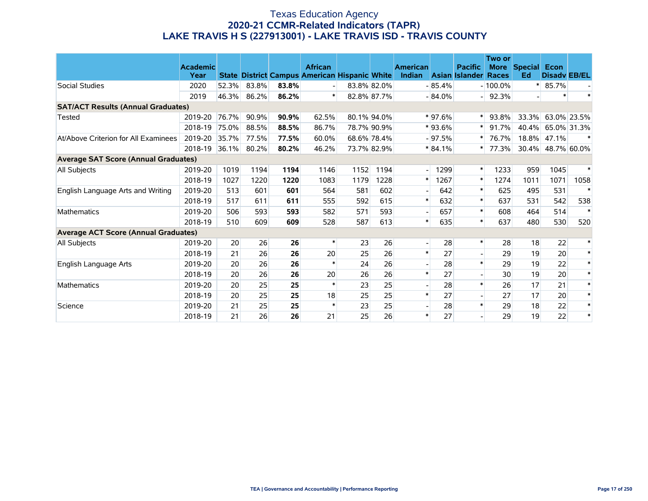### Texas Education Agency **2020-21 CCMR-Related Indicators (TAPR) LAKE TRAVIS H S (227913001) - LAKE TRAVIS ISD - TRAVIS COUNTY**

|                                             | <b>Academic</b><br>Year |       |       |       | <b>African</b><br><b>State District Campus American Hispanic White</b> |             |      | <b>American</b><br>Indian |          | <b>Pacific</b><br>Asian Islander | <b>Two or</b><br><b>More</b><br><b>Races</b> | Special<br>Ed | Econ<br><b>Disady EB/EL</b> |        |
|---------------------------------------------|-------------------------|-------|-------|-------|------------------------------------------------------------------------|-------------|------|---------------------------|----------|----------------------------------|----------------------------------------------|---------------|-----------------------------|--------|
| Social Studies                              | 2020                    | 52.3% | 83.8% | 83.8% |                                                                        | 83.8% 82.0% |      |                           | $-85.4%$ |                                  | $-100.0\%$                                   | $\ast$        | 85.7%                       |        |
|                                             | 2019                    | 46.3% | 86.2% | 86.2% | $\ast$                                                                 | 82.8% 87.7% |      |                           | - 84.0%  |                                  | 92.3%                                        |               |                             |        |
| <b>SAT/ACT Results (Annual Graduates)</b>   |                         |       |       |       |                                                                        |             |      |                           |          |                                  |                                              |               |                             |        |
| Tested                                      | 2019-20                 | 76.7% | 90.9% | 90.9% | 62.5%                                                                  | 80.1% 94.0% |      |                           | $*97.6%$ | $\ast$                           | 93.8%                                        | 33.3%         | 63.0% 23.5%                 |        |
|                                             | 2018-19                 | 75.0% | 88.5% | 88.5% | 86.7%                                                                  | 78.7% 90.9% |      |                           | $*93.6%$ | $\ast$                           | 91.7%                                        | 40.4%         | 65.0% 31.3%                 |        |
| At/Above Criterion for All Examinees        | 2019-20                 | 35.7% | 77.5% | 77.5% | 60.0%                                                                  | 68.6% 78.4% |      |                           | $-97.5%$ | $\ast$                           | 76.7%                                        | 18.8%         | 47.1%                       |        |
|                                             | 2018-19                 | 36.1% | 80.2% | 80.2% | 46.2%                                                                  | 73.7% 82.9% |      |                           | $*84.1%$ | $\ast$                           | 77.3%                                        | 30.4%         | 48.7% 60.0%                 |        |
| <b>Average SAT Score (Annual Graduates)</b> |                         |       |       |       |                                                                        |             |      |                           |          |                                  |                                              |               |                             |        |
| All Subjects                                | 2019-20                 | 1019  | 1194  | 1194  | 1146                                                                   | 1152        | 1194 |                           | 1299     | $\ast$                           | 1233                                         | 959           | 1045                        |        |
|                                             | 2018-19                 | 1027  | 1220  | 1220  | 1083                                                                   | 1179        | 1228 | $\ast$                    | 1267     | $\ast$                           | 1274                                         | 1011          | 1071                        | 1058   |
| English Language Arts and Writing           | 2019-20                 | 513   | 601   | 601   | 564                                                                    | 581         | 602  |                           | 642      | $\ast$                           | 625                                          | 495           | 531                         | $\ast$ |
|                                             | 2018-19                 | 517   | 611   | 611   | 555                                                                    | 592         | 615  |                           | 632      | $\ast$                           | 637                                          | 531           | 542                         | 538    |
| <b>Mathematics</b>                          | 2019-20                 | 506   | 593   | 593   | 582                                                                    | 571         | 593  |                           | 657      | $\ast$                           | 608                                          | 464           | 514                         | $\ast$ |
|                                             | 2018-19                 | 510   | 609   | 609   | 528                                                                    | 587         | 613  | $\ast$                    | 635      | $\ast$                           | 637                                          | 480           | 530                         | 520    |
| <b>Average ACT Score (Annual Graduates)</b> |                         |       |       |       |                                                                        |             |      |                           |          |                                  |                                              |               |                             |        |
| All Subjects                                | 2019-20                 | 20    | 26    | 26    | $\ast$                                                                 | 23          | 26   |                           | 28       | $\ast$                           | 28                                           | 18            | 22                          | $\ast$ |
|                                             | 2018-19                 | 21    | 26    | 26    | 20                                                                     | 25          | 26   |                           | 27       |                                  | 29                                           | 19            | 20                          | $\ast$ |
| English Language Arts                       | 2019-20                 | 20    | 26    | 26    | $\ast$                                                                 | 24          | 26   |                           | 28       | $\ast$                           | 29                                           | 19            | 22                          | $\ast$ |
|                                             | 2018-19                 | 20    | 26    | 26    | 20                                                                     | 26          | 26   |                           | 27       |                                  | 30                                           | 19            | 20                          |        |
| <b>Mathematics</b>                          | 2019-20                 | 20    | 25    | 25    | $\ast$                                                                 | 23          | 25   |                           | 28       | $\ast$                           | 26                                           | 17            | 21                          | $\ast$ |
|                                             | 2018-19                 | 20    | 25    | 25    | 18                                                                     | 25          | 25   |                           | 27       |                                  | 27                                           | 17            | 20                          |        |
| Science                                     | 2019-20                 | 21    | 25    | 25    | $\ast$                                                                 | 23          | 25   |                           | 28       | $\ast$                           | 29                                           | 18            | 22                          | $\ast$ |
|                                             | 2018-19                 | 21    | 26    | 26    | 21                                                                     | 25          | 26   |                           | 27       |                                  | 29                                           | 19            | 22                          | $\ast$ |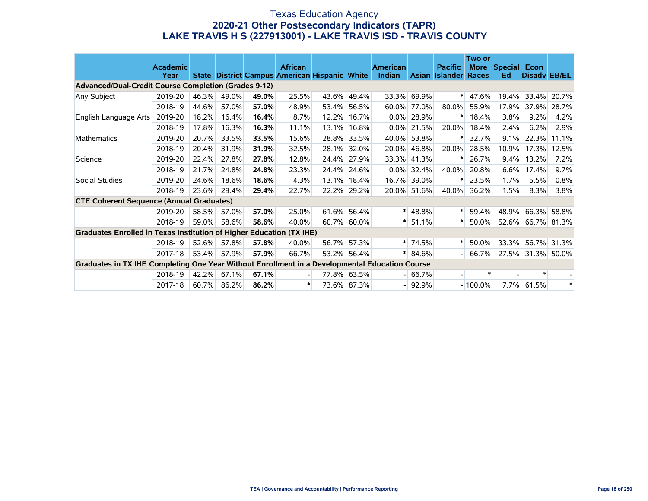#### Texas Education Agency **2020-21 Other Postsecondary Indicators (TAPR) LAKE TRAVIS H S (227913001) - LAKE TRAVIS ISD - TRAVIS COUNTY**

|                                                                                                | <b>Academic</b> |       |       |       | <b>African</b>                                |       |             | <b>American</b> |           | <b>Pacific</b> | <b>Two or</b><br><b>More</b> | Special Econ |                     |             |
|------------------------------------------------------------------------------------------------|-----------------|-------|-------|-------|-----------------------------------------------|-------|-------------|-----------------|-----------|----------------|------------------------------|--------------|---------------------|-------------|
| Advanced/Dual-Credit Course Completion (Grades 9-12)                                           | Year            |       |       |       | State District Campus American Hispanic White |       |             | Indian          |           | Asian Islander | Races                        | Ed           | <b>Disady EB/EL</b> |             |
|                                                                                                |                 |       |       |       |                                               |       |             |                 |           |                |                              |              |                     |             |
| Any Subject                                                                                    | 2019-20         | 46.3% | 49.0% | 49.0% | 25.5%                                         |       | 43.6% 49.4% | 33.3%           | 69.9%     |                | 47.6%                        | 19.4%        | 33.4%               | 20.7%       |
|                                                                                                | 2018-19         | 44.6% | 57.0% | 57.0% | 48.9%                                         |       | 53.4% 56.5% | 60.0%           | 77.0%     | 80.0%          | 55.9%                        | 17.9%        | 37.9%               | 28.7%       |
| English Language Arts                                                                          | 2019-20         | 18.2% | 16.4% | 16.4% | 8.7%                                          | 12.2% | 16.7%       | $0.0\%$         | 28.9%     |                | 18.4%                        | $3.8\%$      | 9.2%                | 4.2%        |
|                                                                                                | 2018-19         | 17.8% | 16.3% | 16.3% | 11.1%                                         | 13.1% | 16.8%       | $0.0\%$         | 21.5%     | 20.0%          | 18.4%                        | 2.4%         | 6.2%                | 2.9%        |
| Mathematics                                                                                    | 2019-20         | 20.7% | 33.5% | 33.5% | 15.6%                                         |       | 28.8% 33.5% | 40.0%           | 53.8%     |                | 32.7%                        | 9.1%         | 22.3%               | 11.1%       |
|                                                                                                | 2018-19         | 20.4% | 31.9% | 31.9% | 32.5%                                         | 28.1% | 32.0%       | 20.0%           | 46.8%     | 20.0%          | 28.5%                        | 10.9%        | 17.3%               | 12.5%       |
| Science                                                                                        | 2019-20         | 22.4% | 27.8% | 27.8% | 12.8%                                         |       | 24.4% 27.9% | 33.3%           | 41.3%     |                | 26.7%                        | 9.4%         | 13.2%               | 7.2%        |
|                                                                                                | 2018-19         | 21.7% | 24.8% | 24.8% | 23.3%                                         | 24.4% | 24.6%       | $0.0\%$         | 32.4%     | 40.0%          | 20.8%                        | 6.6%         | 17.4%               | 9.7%        |
| Social Studies                                                                                 | 2019-20         | 24.6% | 18.6% | 18.6% | 4.3%                                          | 13.1% | 18.4%       | 16.7%           | 39.0%     |                | 23.5%                        | 1.7%         | 5.5%                | 0.8%        |
|                                                                                                | 2018-19         | 23.6% | 29.4% | 29.4% | 22.7%                                         |       | 22.2% 29.2% | 20.0%           | 51.6%     | 40.0%          | 36.2%                        | 1.5%         | 8.3%                | 3.8%        |
| <b>CTE Coherent Sequence (Annual Graduates)</b>                                                |                 |       |       |       |                                               |       |             |                 |           |                |                              |              |                     |             |
|                                                                                                | 2019-20         | 58.5% | 57.0% | 57.0% | 25.0%                                         |       | 61.6% 56.4% |                 | $*$ 48.8% |                | 59.4%                        | 48.9%        | 66.3%               | 58.8%       |
|                                                                                                | 2018-19         | 59.0% | 58.6% | 58.6% | 40.0%                                         |       | 60.7% 60.0% | $\ast$          | 51.1%     |                | 50.0%                        |              | 52.6% 66.7% 81.3%   |             |
| Graduates Enrolled in Texas Institution of Higher Education (TX IHE)                           |                 |       |       |       |                                               |       |             |                 |           |                |                              |              |                     |             |
|                                                                                                | 2018-19         | 52.6% | 57.8% | 57.8% | 40.0%                                         |       | 56.7% 57.3% |                 | $*$ 74.5% |                | 50.0%                        | 33.3%        |                     | 56.7% 31.3% |
|                                                                                                | 2017-18         | 53.4% | 57.9% | 57.9% | 66.7%                                         |       | 53.2% 56.4% | $\ast$          | 84.6%     |                | 66.7%                        | 27.5%        | 31.3%               | 50.0%       |
| Graduates in TX IHE Completing One Year Without Enrollment in a Developmental Education Course |                 |       |       |       |                                               |       |             |                 |           |                |                              |              |                     |             |
|                                                                                                | 2018-19         | 42.2% | 67.1% | 67.1% |                                               |       | 77.8% 63.5% |                 | 66.7%     |                |                              |              |                     |             |
|                                                                                                | 2017-18         | 60.7% | 86.2% | 86.2% | $\ast$                                        |       | 73.6% 87.3% |                 | 92.9%     |                | $-100.0\%$                   | 7.7%         | 61.5%               |             |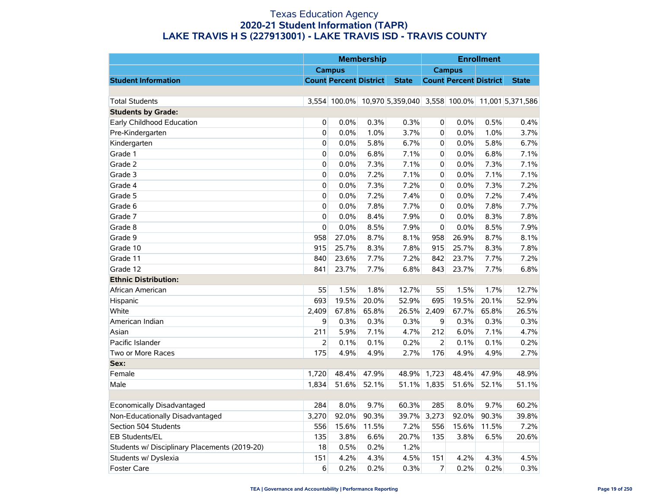### Texas Education Agency **2020-21 Student Information (TAPR) LAKE TRAVIS H S (227913001) - LAKE TRAVIS ISD - TRAVIS COUNTY**

|                                               |                | <b>Membership</b>             |       |                                                             |             | <b>Enrollment</b>             |       |              |  |
|-----------------------------------------------|----------------|-------------------------------|-------|-------------------------------------------------------------|-------------|-------------------------------|-------|--------------|--|
|                                               |                | <b>Campus</b>                 |       |                                                             |             | <b>Campus</b>                 |       |              |  |
| <b>Student Information</b>                    |                | <b>Count Percent District</b> |       | <b>State</b>                                                |             | <b>Count Percent District</b> |       | <b>State</b> |  |
|                                               |                |                               |       |                                                             |             |                               |       |              |  |
| <b>Total Students</b>                         |                |                               |       | 3,554 100.0% 10,970 5,359,040 3,558 100.0% 11,001 5,371,586 |             |                               |       |              |  |
| <b>Students by Grade:</b>                     |                |                               |       |                                                             |             |                               |       |              |  |
| Early Childhood Education                     | 0              | 0.0%                          | 0.3%  | 0.3%                                                        | 0           | 0.0%                          | 0.5%  | 0.4%         |  |
| Pre-Kindergarten                              | $\Omega$       | 0.0%                          | 1.0%  | 3.7%                                                        | 0           | 0.0%                          | 1.0%  | 3.7%         |  |
| Kindergarten                                  | 0              | 0.0%                          | 5.8%  | 6.7%                                                        | 0           | 0.0%                          | 5.8%  | 6.7%         |  |
| Grade 1                                       | 0              | 0.0%                          | 6.8%  | 7.1%                                                        | 0           | 0.0%                          | 6.8%  | 7.1%         |  |
| Grade 2                                       | 0              | 0.0%                          | 7.3%  | 7.1%                                                        | 0           | 0.0%                          | 7.3%  | 7.1%         |  |
| Grade 3                                       | 0              | 0.0%                          | 7.2%  | 7.1%                                                        | 0           | 0.0%                          | 7.1%  | 7.1%         |  |
| Grade 4                                       | 0              | 0.0%                          | 7.3%  | 7.2%                                                        | 0           | 0.0%                          | 7.3%  | 7.2%         |  |
| Grade 5                                       | $\mathbf 0$    | 0.0%                          | 7.2%  | 7.4%                                                        | $\mathbf 0$ | 0.0%                          | 7.2%  | 7.4%         |  |
| Grade 6                                       | $\pmb{0}$      | 0.0%                          | 7.8%  | 7.7%                                                        | 0           | 0.0%                          | 7.8%  | 7.7%         |  |
| Grade 7                                       | $\pmb{0}$      | 0.0%                          | 8.4%  | 7.9%                                                        | 0           | 0.0%                          | 8.3%  | 7.8%         |  |
| Grade 8                                       | 0              | 0.0%                          | 8.5%  | 7.9%                                                        | 0           | 0.0%                          | 8.5%  | 7.9%         |  |
| Grade 9                                       | 958            | 27.0%                         | 8.7%  | 8.1%                                                        | 958         | 26.9%                         | 8.7%  | 8.1%         |  |
| Grade 10                                      | 915            | 25.7%                         | 8.3%  | 7.8%                                                        | 915         | 25.7%                         | 8.3%  | 7.8%         |  |
| Grade 11                                      | 840            | 23.6%                         | 7.7%  | 7.2%                                                        | 842         | 23.7%                         | 7.7%  | 7.2%         |  |
| Grade 12                                      | 841            | 23.7%                         | 7.7%  | 6.8%                                                        | 843         | 23.7%                         | 7.7%  | 6.8%         |  |
| <b>Ethnic Distribution:</b>                   |                |                               |       |                                                             |             |                               |       |              |  |
| African American                              | 55             | 1.5%                          | 1.8%  | 12.7%                                                       | 55          | 1.5%                          | 1.7%  | 12.7%        |  |
| Hispanic                                      | 693            | 19.5%                         | 20.0% | 52.9%                                                       | 695         | 19.5%                         | 20.1% | 52.9%        |  |
| White                                         | 2,409          | 67.8%                         | 65.8% | 26.5%                                                       | 2,409       | 67.7%                         | 65.8% | 26.5%        |  |
| American Indian                               | 9              | 0.3%                          | 0.3%  | 0.3%                                                        | 9           | 0.3%                          | 0.3%  | 0.3%         |  |
| Asian                                         | 211            | 5.9%                          | 7.1%  | 4.7%                                                        | 212         | 6.0%                          | 7.1%  | 4.7%         |  |
| Pacific Islander                              | $\overline{2}$ | 0.1%                          | 0.1%  | 0.2%                                                        | 2           | 0.1%                          | 0.1%  | 0.2%         |  |
| Two or More Races                             | 175            | 4.9%                          | 4.9%  | 2.7%                                                        | 176         | 4.9%                          | 4.9%  | 2.7%         |  |
| Sex:                                          |                |                               |       |                                                             |             |                               |       |              |  |
| Female                                        | 1,720          | 48.4%                         | 47.9% | 48.9%                                                       | 1,723       | 48.4%                         | 47.9% | 48.9%        |  |
| Male                                          | 1,834          | 51.6%                         | 52.1% | 51.1%                                                       | 1,835       | 51.6%                         | 52.1% | 51.1%        |  |
|                                               |                |                               |       |                                                             |             |                               |       |              |  |
| Economically Disadvantaged                    | 284            | 8.0%                          | 9.7%  | 60.3%                                                       | 285         | 8.0%                          | 9.7%  | 60.2%        |  |
| Non-Educationally Disadvantaged               | 3,270          | 92.0%                         | 90.3% | 39.7%                                                       | 3,273       | 92.0%                         | 90.3% | 39.8%        |  |
| Section 504 Students                          | 556            | 15.6%                         | 11.5% | 7.2%                                                        | 556         | 15.6%                         | 11.5% | 7.2%         |  |
| <b>EB Students/EL</b>                         | 135            | 3.8%                          | 6.6%  | 20.7%                                                       | 135         | 3.8%                          | 6.5%  | 20.6%        |  |
| Students w/ Disciplinary Placements (2019-20) | 18             | 0.5%                          | 0.2%  | 1.2%                                                        |             |                               |       |              |  |
| Students w/ Dyslexia                          | 151            | 4.2%                          | 4.3%  | 4.5%                                                        | 151         | 4.2%                          | 4.3%  | 4.5%         |  |
| <b>Foster Care</b>                            | 6              | 0.2%                          | 0.2%  | 0.3%                                                        | 7           | 0.2%                          | 0.2%  | 0.3%         |  |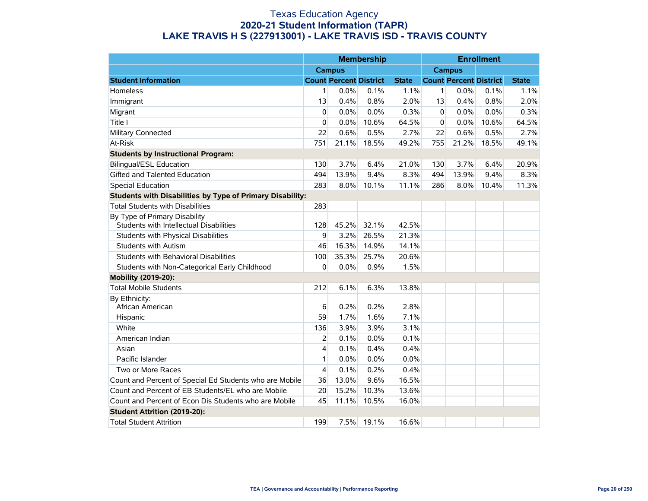### Texas Education Agency **2020-21 Student Information (TAPR) LAKE TRAVIS H S (227913001) - LAKE TRAVIS ISD - TRAVIS COUNTY**

|                                                                          |             |                               | <b>Membership</b> |              | <b>Enrollment</b> |                               |       |              |
|--------------------------------------------------------------------------|-------------|-------------------------------|-------------------|--------------|-------------------|-------------------------------|-------|--------------|
|                                                                          |             | <b>Campus</b>                 |                   |              |                   | <b>Campus</b>                 |       |              |
| <b>Student Information</b>                                               |             | <b>Count Percent District</b> |                   | <b>State</b> |                   | <b>Count Percent District</b> |       | <b>State</b> |
| Homeless                                                                 | 1           | 0.0%                          | 0.1%              | 1.1%         | 1                 | 0.0%                          | 0.1%  | 1.1%         |
| Immigrant                                                                | 13          | 0.4%                          | 0.8%              | 2.0%         | 13                | 0.4%                          | 0.8%  | 2.0%         |
| Migrant                                                                  | 0           | 0.0%                          | 0.0%              | 0.3%         | 0                 | 0.0%                          | 0.0%  | 0.3%         |
| Title I                                                                  | $\mathbf 0$ | 0.0%                          | 10.6%             | 64.5%        | 0                 | 0.0%                          | 10.6% | 64.5%        |
| <b>Military Connected</b>                                                | 22          | 0.6%                          | 0.5%              | 2.7%         | 22                | 0.6%                          | 0.5%  | 2.7%         |
| At-Risk                                                                  | 751         | 21.1%                         | 18.5%             | 49.2%        | 755               | 21.2%                         | 18.5% | 49.1%        |
| <b>Students by Instructional Program:</b>                                |             |                               |                   |              |                   |                               |       |              |
| <b>Bilingual/ESL Education</b>                                           | 130         | 3.7%                          | 6.4%              | 21.0%        | 130               | 3.7%                          | 6.4%  | 20.9%        |
| Gifted and Talented Education                                            | 494         | 13.9%                         | 9.4%              | 8.3%         | 494               | 13.9%                         | 9.4%  | 8.3%         |
| <b>Special Education</b>                                                 | 283         | 8.0%                          | 10.1%             | 11.1%        | 286               | 8.0%                          | 10.4% | 11.3%        |
| Students with Disabilities by Type of Primary Disability:                |             |                               |                   |              |                   |                               |       |              |
| <b>Total Students with Disabilities</b>                                  | 283         |                               |                   |              |                   |                               |       |              |
| By Type of Primary Disability<br>Students with Intellectual Disabilities | 128         | 45.2%                         | 32.1%             | 42.5%        |                   |                               |       |              |
| Students with Physical Disabilities                                      | 9           | 3.2%                          | 26.5%             | 21.3%        |                   |                               |       |              |
| <b>Students with Autism</b>                                              | 46          | 16.3%                         | 14.9%             | 14.1%        |                   |                               |       |              |
| Students with Behavioral Disabilities                                    | 100         | 35.3%                         | 25.7%             | 20.6%        |                   |                               |       |              |
| Students with Non-Categorical Early Childhood                            | 0           | 0.0%                          | 0.9%              | 1.5%         |                   |                               |       |              |
| Mobility (2019-20):                                                      |             |                               |                   |              |                   |                               |       |              |
| <b>Total Mobile Students</b>                                             | 212         | 6.1%                          | 6.3%              | 13.8%        |                   |                               |       |              |
| By Ethnicity:<br>African American                                        | 6           | 0.2%                          | 0.2%              | 2.8%         |                   |                               |       |              |
| Hispanic                                                                 | 59          | 1.7%                          | 1.6%              | 7.1%         |                   |                               |       |              |
| White                                                                    | 136         | 3.9%                          | 3.9%              | 3.1%         |                   |                               |       |              |
| American Indian                                                          | 2           | 0.1%                          | 0.0%              | 0.1%         |                   |                               |       |              |
| Asian                                                                    | 4           | 0.1%                          | 0.4%              | 0.4%         |                   |                               |       |              |
| Pacific Islander                                                         | 1           | 0.0%                          | 0.0%              | 0.0%         |                   |                               |       |              |
| Two or More Races                                                        | 4           | 0.1%                          | 0.2%              | 0.4%         |                   |                               |       |              |
| Count and Percent of Special Ed Students who are Mobile                  | 36          | 13.0%                         | 9.6%              | 16.5%        |                   |                               |       |              |
| Count and Percent of EB Students/EL who are Mobile                       | 20          | 15.2%                         | 10.3%             | 13.6%        |                   |                               |       |              |
| Count and Percent of Econ Dis Students who are Mobile                    | 45          | 11.1%                         | 10.5%             | 16.0%        |                   |                               |       |              |
| <b>Student Attrition (2019-20):</b>                                      |             |                               |                   |              |                   |                               |       |              |
| <b>Total Student Attrition</b>                                           | 199         | 7.5%                          | 19.1%             | 16.6%        |                   |                               |       |              |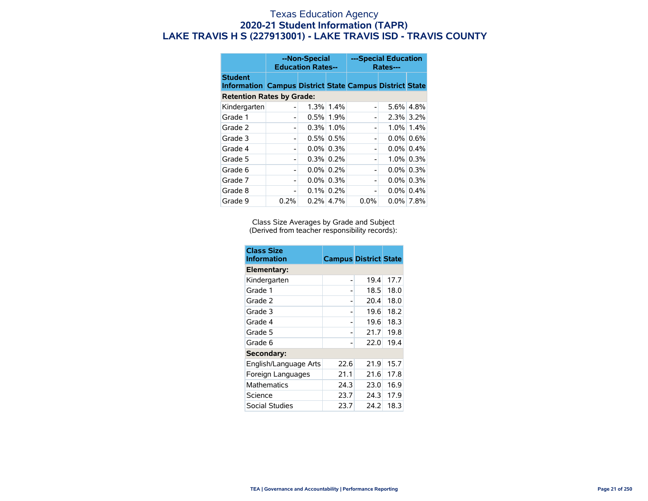#### Texas Education Agency **2020-21 Student Information (TAPR) LAKE TRAVIS H S (227913001) - LAKE TRAVIS ISD - TRAVIS COUNTY**

|                                                                                  |      | --Non-Special<br><b>Education Rates--</b> |              |                          | ---Special Education<br>Rates--- |              |  |  |  |
|----------------------------------------------------------------------------------|------|-------------------------------------------|--------------|--------------------------|----------------------------------|--------------|--|--|--|
| <b>Student</b><br><b>Information Campus District State Campus District State</b> |      |                                           |              |                          |                                  |              |  |  |  |
| <b>Retention Rates by Grade:</b>                                                 |      |                                           |              |                          |                                  |              |  |  |  |
| Kindergarten                                                                     |      |                                           | 1.3% 1.4%    | -                        |                                  | 5.6% 4.8%    |  |  |  |
| Grade 1                                                                          |      |                                           | $0.5\%$ 1.9% |                          |                                  | $2.3\%$ 3.2% |  |  |  |
| Grade 2                                                                          |      |                                           | $0.3\%$ 1.0% | -                        |                                  | 1.0% 1.4%    |  |  |  |
| Grade 3                                                                          |      |                                           | $0.5\%$ 0.5% | -                        |                                  | $0.0\%$ 0.6% |  |  |  |
| Grade 4                                                                          |      |                                           | $0.0\%$ 0.3% | $\overline{\phantom{0}}$ |                                  | $0.0\%$ 0.4% |  |  |  |
| Grade 5                                                                          |      |                                           | $0.3\%$ 0.2% |                          |                                  | $1.0\%$ 0.3% |  |  |  |
| Grade 6                                                                          |      |                                           | $0.0\%$ 0.2% | -                        |                                  | $0.0\%$ 0.3% |  |  |  |
| Grade 7                                                                          |      |                                           | $0.0\%$ 0.3% | -                        |                                  | $0.0\%$ 0.3% |  |  |  |
| Grade 8                                                                          |      |                                           | $0.1\%$ 0.2% | -                        |                                  | $0.0\%$ 0.4% |  |  |  |
| Grade 9                                                                          | 0.2% |                                           | $0.2\%$ 4.7% | 0.0%                     |                                  | $0.0\%$ 7.8% |  |  |  |

Class Size Averages by Grade and Subject (Derived from teacher responsibility records):

| <b>Class Size</b><br><b>Information</b> | <b>Campus District State</b> |      |      |
|-----------------------------------------|------------------------------|------|------|
| Elementary:                             |                              |      |      |
| Kindergarten                            |                              | 19.4 | 17.7 |
| Grade 1                                 |                              | 18.5 | 18.0 |
| Grade 2                                 |                              | 20.4 | 18.0 |
| Grade 3                                 |                              | 19.6 | 18.2 |
| Grade 4                                 |                              | 19.6 | 18.3 |
| Grade 5                                 |                              | 21.7 | 19.8 |
| Grade 6                                 |                              | 22.0 | 19.4 |
| Secondary:                              |                              |      |      |
| English/Language Arts                   | 22.6                         | 21.9 | 15.7 |
| Foreign Languages                       | 21.1                         | 21.6 | 17.8 |
| <b>Mathematics</b>                      | 24.3                         | 23.0 | 16.9 |
| Science                                 | 23.7                         | 24.3 | 17.9 |
| Social Studies                          | 23.7                         | 24.2 | 18.3 |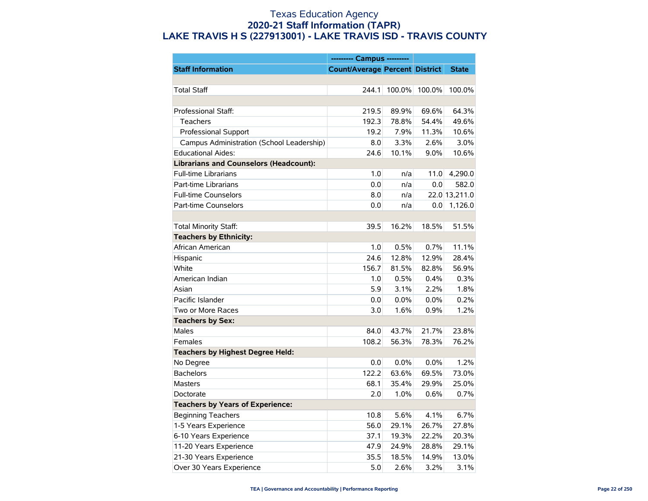### Texas Education Agency **2020-21 Staff Information (TAPR) LAKE TRAVIS H S (227913001) - LAKE TRAVIS ISD - TRAVIS COUNTY**

|                                               | --------- Campus ---------            |        |        |               |
|-----------------------------------------------|---------------------------------------|--------|--------|---------------|
| <b>Staff Information</b>                      | <b>Count/Average Percent District</b> |        |        | <b>State</b>  |
|                                               |                                       |        |        |               |
| Total Staff                                   | 244.1                                 | 100.0% | 100.0% | 100.0%        |
|                                               |                                       |        |        |               |
| Professional Staff:                           | 219.5                                 | 89.9%  | 69.6%  | 64.3%         |
| <b>Teachers</b>                               | 192.3                                 | 78.8%  | 54.4%  | 49.6%         |
| <b>Professional Support</b>                   | 19.2                                  | 7.9%   | 11.3%  | 10.6%         |
| Campus Administration (School Leadership)     | 8.0                                   | 3.3%   | 2.6%   | 3.0%          |
| <b>Educational Aides:</b>                     | 24.6                                  | 10.1%  | 9.0%   | 10.6%         |
| <b>Librarians and Counselors (Headcount):</b> |                                       |        |        |               |
| <b>Full-time Librarians</b>                   | 1.0                                   | n/a    | 11.0   | 4,290.0       |
| Part-time Librarians                          | 0.0                                   | n/a    | 0.0    | 582.0         |
| <b>Full-time Counselors</b>                   | 8.0                                   | n/a    |        | 22.0 13,211.0 |
| <b>Part-time Counselors</b>                   | 0.0                                   | n/a    | 0.0    | 1,126.0       |
|                                               |                                       |        |        |               |
| Total Minority Staff:                         | 39.5                                  | 16.2%  | 18.5%  | 51.5%         |
| <b>Teachers by Ethnicity:</b>                 |                                       |        |        |               |
| African American                              | 1.0                                   | 0.5%   | 0.7%   | 11.1%         |
| Hispanic                                      | 24.6                                  | 12.8%  | 12.9%  | 28.4%         |
| White                                         | 156.7                                 | 81.5%  | 82.8%  | 56.9%         |
| American Indian                               | 1.0                                   | 0.5%   | 0.4%   | 0.3%          |
| Asian                                         | 5.9                                   | 3.1%   | 2.2%   | 1.8%          |
| Pacific Islander                              | 0.0                                   | 0.0%   | 0.0%   | 0.2%          |
| Two or More Races                             | 3.0                                   | 1.6%   | 0.9%   | 1.2%          |
| <b>Teachers by Sex:</b>                       |                                       |        |        |               |
| <b>Males</b>                                  | 84.0                                  | 43.7%  | 21.7%  | 23.8%         |
| Females                                       | 108.2                                 | 56.3%  | 78.3%  | 76.2%         |
| <b>Teachers by Highest Degree Held:</b>       |                                       |        |        |               |
| No Degree                                     | 0.0                                   | 0.0%   | 0.0%   | 1.2%          |
| <b>Bachelors</b>                              | 122.2                                 | 63.6%  | 69.5%  | 73.0%         |
| <b>Masters</b>                                | 68.1                                  | 35.4%  | 29.9%  | 25.0%         |
| Doctorate                                     | 2.0                                   | 1.0%   | 0.6%   | 0.7%          |
| <b>Teachers by Years of Experience:</b>       |                                       |        |        |               |
| <b>Beginning Teachers</b>                     | 10.8                                  | 5.6%   | 4.1%   | 6.7%          |
| 1-5 Years Experience                          | 56.0                                  | 29.1%  | 26.7%  | 27.8%         |
| 6-10 Years Experience                         | 37.1                                  | 19.3%  | 22.2%  | 20.3%         |
| 11-20 Years Experience                        | 47.9                                  | 24.9%  | 28.8%  | 29.1%         |
| 21-30 Years Experience                        | 35.5                                  | 18.5%  | 14.9%  | 13.0%         |
| Over 30 Years Experience                      | 5.0                                   | 2.6%   | 3.2%   | 3.1%          |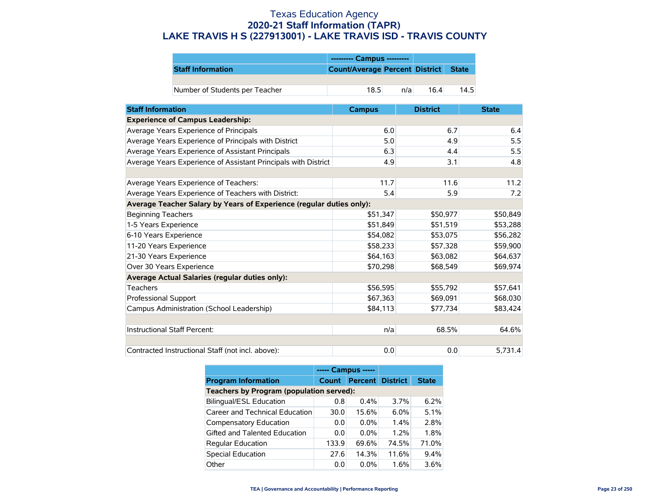### Texas Education Agency **2020-21 Staff Information (TAPR) LAKE TRAVIS H S (227913001) - LAKE TRAVIS ISD - TRAVIS COUNTY**

|                                | --------- Campus ---------           |      |     |      |      |
|--------------------------------|--------------------------------------|------|-----|------|------|
| <b>Staff Information</b>       | Count/Average Percent District State |      |     |      |      |
|                                |                                      |      |     |      |      |
| Number of Students per Teacher |                                      | 18.5 | n/a | 16.4 | 14.5 |

| <b>Staff Information</b>                                             | <b>Campus</b> | <b>District</b> | <b>State</b> |
|----------------------------------------------------------------------|---------------|-----------------|--------------|
| <b>Experience of Campus Leadership:</b>                              |               |                 |              |
| Average Years Experience of Principals                               | 6.0           | 6.7             | 6.4          |
| Average Years Experience of Principals with District                 | 5.0           | 4.9             | 5.5          |
| Average Years Experience of Assistant Principals                     | 6.3           | 4.4             | 5.5          |
| Average Years Experience of Assistant Principals with District       | 4.9           | 3.1             | 4.8          |
|                                                                      |               |                 |              |
| Average Years Experience of Teachers:                                | 11.7          | 11.6            | 11.2         |
| Average Years Experience of Teachers with District:                  | 5.4           | 5.9             | 7.2          |
| Average Teacher Salary by Years of Experience (regular duties only): |               |                 |              |
| <b>Beginning Teachers</b>                                            | \$51,347      | \$50,977        | \$50,849     |
| 1-5 Years Experience                                                 | \$51,849      | \$51,519        | \$53,288     |
| 6-10 Years Experience                                                | \$54,082      | \$53,075        | \$56,282     |
| 11-20 Years Experience                                               | \$58,233      | \$57,328        | \$59,900     |
| 21-30 Years Experience                                               | \$64,163      | \$63,082        | \$64,637     |
| Over 30 Years Experience                                             | \$70,298      | \$68,549        | \$69,974     |
| Average Actual Salaries (regular duties only):                       |               |                 |              |
| <b>Teachers</b>                                                      | \$56,595      | \$55,792        | \$57,641     |
| Professional Support                                                 | \$67,363      | \$69,091        | \$68,030     |
| Campus Administration (School Leadership)                            | \$84,113      | \$77,734        | \$83,424     |
|                                                                      |               |                 |              |
| Instructional Staff Percent:                                         | n/a           | 68.5%           | 64.6%        |
|                                                                      |               |                 |              |
| Contracted Instructional Staff (not incl. above):                    | 0.0           | 0.0             | 5,731.4      |

|                                          | ----- Campus ----- |                         |       |              |  |  |  |  |  |  |
|------------------------------------------|--------------------|-------------------------|-------|--------------|--|--|--|--|--|--|
| <b>Program Information</b>               | Count              | <b>Percent District</b> |       | <b>State</b> |  |  |  |  |  |  |
| Teachers by Program (population served): |                    |                         |       |              |  |  |  |  |  |  |
| <b>Bilingual/ESL Education</b>           | 0.8                | $0.4\%$                 | 3.7%  | 6.2%         |  |  |  |  |  |  |
| Career and Technical Education           | 30.0               | 15.6%                   | 6.0%  | 5.1%         |  |  |  |  |  |  |
| <b>Compensatory Education</b>            | 0.0                | $0.0\%$                 | 1.4%  | 2.8%         |  |  |  |  |  |  |
| Gifted and Talented Education            | 0.0                | $0.0\%$                 | 1.2%  | 1.8%         |  |  |  |  |  |  |
| Regular Education                        | 133.9              | 69.6%                   | 74.5% | 71.0%        |  |  |  |  |  |  |
| <b>Special Education</b>                 | 27.6               | 14.3%                   | 11.6% | 9.4%         |  |  |  |  |  |  |
| Other                                    | 0.0                | $0.0\%$                 | 1.6%  | 3.6%         |  |  |  |  |  |  |